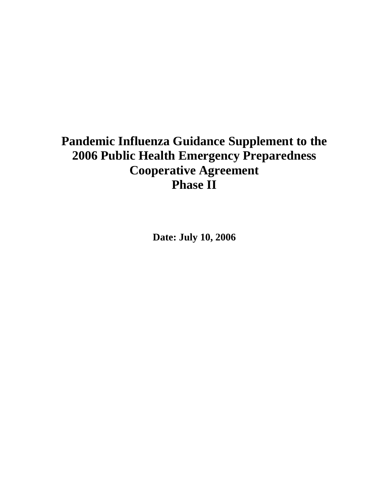# **Pandemic Influenza Guidance Supplement to the 2006 Public Health Emergency Preparedness Cooperative Agreement Phase II**

**Date: July 10, 2006**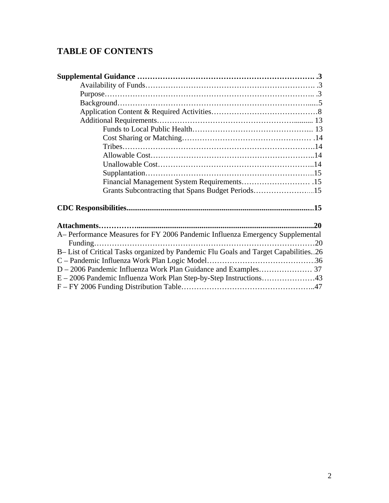# **TABLE OF CONTENTS**

| Financial Management System Requirements 15                                        |  |
|------------------------------------------------------------------------------------|--|
| Grants Subcontracting that Spans Budget Periods15                                  |  |
|                                                                                    |  |
|                                                                                    |  |
| A – Performance Measures for FY 2006 Pandemic Influenza Emergency Supplemental     |  |
|                                                                                    |  |
| B-List of Critical Tasks organized by Pandemic Flu Goals and Target Capabilities26 |  |
|                                                                                    |  |
|                                                                                    |  |
|                                                                                    |  |
|                                                                                    |  |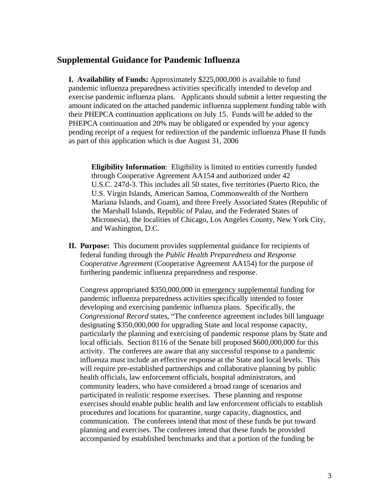## **Supplemental Guidance for Pandemic Influenza**

**I. Availability of Funds:** Approximately \$225,000,000 is available to fund pandemic influenza preparedness activities specifically intended to develop and exercise pandemic influenza plans. Applicants should submit a letter requesting the amount indicated on the attached pandemic influenza supplement funding table with their PHEPCA continuation applications on July 15. Funds will be added to the PHEPCA continuation and 20% may be obligated or expended by your agency pending receipt of a request for redirection of the pandemic influenza Phase II funds as part of this application which is due August 31, 2006

**Eligibility Information**: Eligibility is limited to entities currently funded through Cooperative Agreement AA154 and authorized under 42 U.S.C. 247d-3. This includes all 50 states, five territories (Puerto Rico, the U.S. Virgin Islands, American Samoa, Commonwealth of the Northern Mariana Islands, and Guam), and three Freely Associated States (Republic of the Marshall Islands, Republic of Palau, and the Federated States of Micronesia), the localities of Chicago, Los Angeles County, New York City, and Washington, D.C.

**II. Purpose:** This document provides supplemental guidance for recipients of federal funding through the *Public Health Preparedness and Response Cooperative Agreement* (Cooperative Agreement AA154) for the purpose of furthering pandemic influenza preparedness and response.

Congress appropriated \$350,000,000 in emergency supplemental funding for pandemic influenza preparedness activities specifically intended to foster developing and exercising pandemic influenza plans. Specifically, the *Congressional Record* states, "The conference agreement includes bill language designating \$350,000,000 for upgrading State and local response capacity, particularly the planning and exercising of pandemic response plans by State and local officials. Section 8116 of the Senate bill proposed \$600,000,000 for this activity. The conferees are aware that any successful response to a pandemic influenza must include an effective response at the State and local levels. This will require pre-established partnerships and collaborative planning by public health officials, law enforcement officials, hospital administrators, and community leaders, who have considered a broad range of scenarios and participated in realistic response exercises. These planning and response exercises should enable public health and law enforcement officials to establish procedures and locations for quarantine, surge capacity, diagnostics, and communication. The conferees intend that most of these funds be put toward planning and exercises. The conferees intend that these funds be provided accompanied by established benchmarks and that a portion of the funding be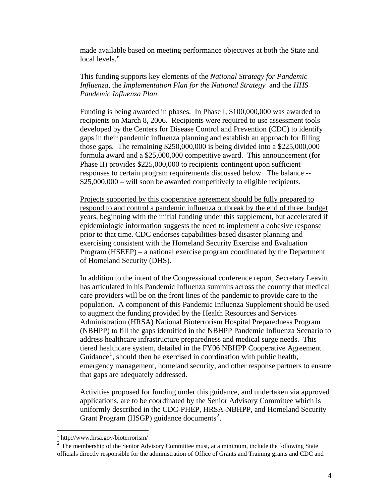made available based on meeting performance objectives at both the State and local levels."

This funding supports key elements of the *National Strategy for Pandemic Influenza,* the *Implementation Plan for the National Strategy* and the *HHS Pandemic Influenza Plan*.

 Funding is being awarded in phases. In Phase I, \$100,000,000 was awarded to recipients on March 8, 2006. Recipients were required to use assessment tools developed by the Centers for Disease Control and Prevention (CDC) to identify gaps in their pandemic influenza planning and establish an approach for filling those gaps. The remaining \$250,000,000 is being divided into a \$225,000,000 formula award and a \$25,000,000 competitive award. This announcement (for Phase II) provides \$225,000,000 to recipients contingent upon sufficient responses to certain program requirements discussed below. The balance -- \$25,000,000 – will soon be awarded competitively to eligible recipients.

Projects supported by this cooperative agreement should be fully prepared to respond to and control a pandemic influenza outbreak by the end of three budget years, beginning with the initial funding under this supplement, but accelerated if epidemiologic information suggests the need to implement a cohesive response prior to that time. CDC endorses capabilities-based disaster planning and exercising consistent with the Homeland Security Exercise and Evaluation Program (HSEEP) – a national exercise program coordinated by the Department of Homeland Security (DHS).

In addition to the intent of the Congressional conference report, Secretary Leavitt has articulated in his Pandemic Influenza summits across the country that medical care providers will be on the front lines of the pandemic to provide care to the population. A component of this Pandemic Influenza Supplement should be used to augment the funding provided by the Health Resources and Services Administration (HRSA) National Bioterrorism Hospital Preparedness Program (NBHPP) to fill the gaps identified in the NBHPP Pandemic Influenza Scenario to address healthcare infrastructure preparedness and medical surge needs. This tiered healthcare system, detailed in the FY06 NBHPP Cooperative Agreement Guidance<sup>[1](#page-3-0)</sup>, should then be exercised in coordination with public health, emergency management, homeland security, and other response partners to ensure that gaps are adequately addressed.

Activities proposed for funding under this guidance, and undertaken via approved applications, are to be coordinated by the Senior Advisory Committee which is uniformly described in the CDC-PHEP, HRSA-NBHPP, and Homeland Security Grant Program (HSGP) guidance documents<sup>[2](#page-3-1)</sup>.

 $\overline{a}$ 

<sup>1</sup> http://www.hrsa.gov/bioterrorism/

<span id="page-3-1"></span><span id="page-3-0"></span> $2 \text{ The membership of the Senior Advisory Committee must, at a minimum, include the following State}$ officials directly responsible for the administration of Office of Grants and Training grants and CDC and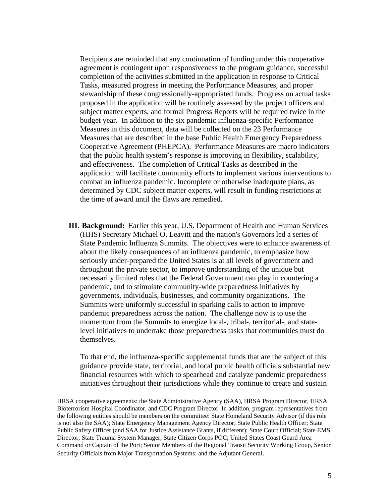Recipients are reminded that any continuation of funding under this cooperative agreement is contingent upon responsiveness to the program guidance, successful completion of the activities submitted in the application in response to Critical Tasks, measured progress in meeting the Performance Measures, and proper stewardship of these congressionally-appropriated funds. Progress on actual tasks proposed in the application will be routinely assessed by the project officers and subject matter experts, and formal Progress Reports will be required twice in the budget year. In addition to the six pandemic influenza-specific Performance Measures in this document, data will be collected on the 23 Performance Measures that are described in the base Public Health Emergency Preparedness Cooperative Agreement (PHEPCA). Performance Measures are macro indicators that the public health system's response is improving in flexibility, scalability, and effectiveness. The completion of Critical Tasks as described in the application will facilitate community efforts to implement various interventions to combat an influenza pandemic. Incomplete or otherwise inadequate plans, as determined by CDC subject matter experts, will result in funding restrictions at the time of award until the flaws are remedied.

**III. Background:** Earlier this year, U.S. Department of Health and Human Services (HHS) Secretary Michael O. Leavitt and the nation's Governors led a series of State Pandemic Influenza Summits. The objectives were to enhance awareness of about the likely consequences of an influenza pandemic, to emphasize how seriously under-prepared the United States is at all levels of government and throughout the private sector, to improve understanding of the unique but necessarily limited roles that the Federal Government can play in countering a pandemic, and to stimulate community-wide preparedness initiatives by governments, individuals, businesses, and community organizations. The Summits were uniformly successful in sparking calls to action to improve pandemic preparedness across the nation. The challenge now is to use the momentum from the Summits to energize local-, tribal-, territorial-, and statelevel initiatives to undertake those preparedness tasks that communities must do themselves.

To that end, the influenza-specific supplemental funds that are the subject of this guidance provide state, territorial, and local public health officials substantial new financial resources with which to spearhead and catalyze pandemic preparedness initiatives throughout their jurisdictions while they continue to create and sustain

HRSA cooperative agreements: the State Administrative Agency (SAA), HRSA Program Director, HRSA Bioterrorism Hospital Coordinator, and CDC Program Director. In addition, program representatives from the following entities should be members on the committee: State Homeland Security Advisor (if this role is not also the SAA); State Emergency Management Agency Director; State Public Health Officer; State Public Safety Officer (and SAA for Justice Assistance Grants, if different); State Court Official; State EMS Director; State Trauma System Manager; State Citizen Corps POC; United States Coast Guard Area Command or Captain of the Port; Senior Members of the Regional Transit Security Working Group, Senior Security Officials from Major Transportation Systems; and the Adjutant General.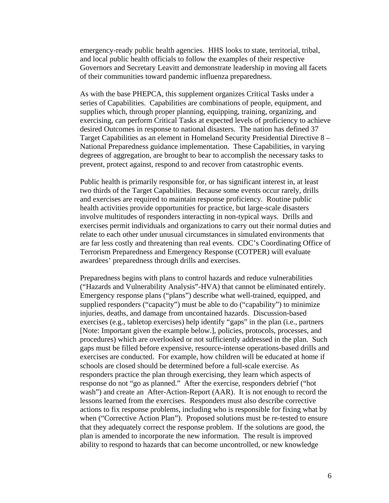emergency-ready public health agencies. HHS looks to state, territorial, tribal, and local public health officials to follow the examples of their respective Governors and Secretary Leavitt and demonstrate leadership in moving all facets of their communities toward pandemic influenza preparedness.

As with the base PHEPCA, this supplement organizes Critical Tasks under a series of Capabilities. Capabilities are combinations of people, equipment, and supplies which, through proper planning, equipping, training, organizing, and exercising, can perform Critical Tasks at expected levels of proficiency to achieve desired Outcomes in response to national disasters. The nation has defined 37 Target Capabilities as an element in Homeland Security Presidential Directive 8 – National Preparedness guidance implementation. These Capabilities, in varying degrees of aggregation, are brought to bear to accomplish the necessary tasks to prevent, protect against, respond to and recover from catastrophic events.

Public health is primarily responsible for, or has significant interest in, at least two thirds of the Target Capabilities. Because some events occur rarely, drills and exercises are required to maintain response proficiency. Routine public health activities provide opportunities for practice, but large-scale disasters involve multitudes of responders interacting in non-typical ways. Drills and exercises permit individuals and organizations to carry out their normal duties and relate to each other under unusual circumstances in simulated environments that are far less costly and threatening than real events. CDC's Coordinating Office of Terrorism Preparedness and Emergency Response (COTPER) will evaluate awardees' preparedness through drills and exercises.

Preparedness begins with plans to control hazards and reduce vulnerabilities ("Hazards and Vulnerability Analysis"-HVA) that cannot be eliminated entirely. Emergency response plans ("plans") describe what well-trained, equipped, and supplied responders ("capacity") must be able to do ("capability") to minimize injuries, deaths, and damage from uncontained hazards. Discussion-based exercises (e.g., tabletop exercises) help identify "gaps" in the plan (i.e., partners [Note: Important given the example below.], policies, protocols, processes, and procedures) which are overlooked or not sufficiently addressed in the plan. Such gaps must be filled before expensive, resource-intense operations-based drills and exercises are conducted. For example, how children will be educated at home if schools are closed should be determined before a full-scale exercise. As responders practice the plan through exercising, they learn which aspects of response do not "go as planned." After the exercise, responders debrief ("hot wash") and create an After-Action-Report (AAR). It is not enough to record the lessons learned from the exercises. Responders must also describe corrective actions to fix response problems, including who is responsible for fixing what by when ("Corrective Action Plan"). Proposed solutions must be re-tested to ensure that they adequately correct the response problem. If the solutions are good, the plan is amended to incorporate the new information. The result is improved ability to respond to hazards that can become uncontrolled, or new knowledge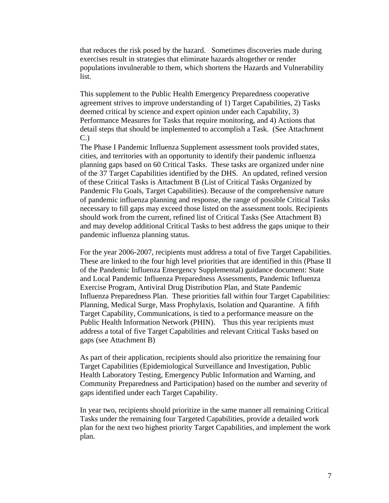that reduces the risk posed by the hazard. Sometimes discoveries made during exercises result in strategies that eliminate hazards altogether or render populations invulnerable to them, which shortens the Hazards and Vulnerability list.

This supplement to the Public Health Emergency Preparedness cooperative agreement strives to improve understanding of 1) Target Capabilities, 2) Tasks deemed critical by science and expert opinion under each Capability, 3) Performance Measures for Tasks that require monitoring, and 4) Actions that detail steps that should be implemented to accomplish a Task. (See Attachment C.) The Phase I Pandemic Influenza Supplement assessment tools provided states,

cities, and territories with an opportunity to identify their pandemic influenza planning gaps based on 60 Critical Tasks. These tasks are organized under nine of the 37 Target Capabilities identified by the DHS. An updated, refined version of these Critical Tasks is Attachment B (List of Critical Tasks Organized by Pandemic Flu Goals, Target Capabilities). Because of the comprehensive nature of pandemic influenza planning and response, the range of possible Critical Tasks necessary to fill gaps may exceed those listed on the assessment tools. Recipients should work from the current, refined list of Critical Tasks (See Attachment B) and may develop additional Critical Tasks to best address the gaps unique to their pandemic influenza planning status.

For the year 2006-2007, recipients must address a total of five Target Capabilities. These are linked to the four high level priorities that are identified in this (Phase II of the Pandemic Influenza Emergency Supplemental) guidance document: State and Local Pandemic Influenza Preparedness Assessments, Pandemic Influenza Exercise Program, Antiviral Drug Distribution Plan, and State Pandemic Influenza Preparedness Plan. These priorities fall within four Target Capabilities: Planning, Medical Surge, Mass Prophylaxis, Isolation and Quarantine. A fifth Target Capability, Communications, is tied to a performance measure on the Public Health Information Network (PHIN). Thus this year recipients must address a total of five Target Capabilities and relevant Critical Tasks based on gaps (see Attachment B)

As part of their application, recipients should also prioritize the remaining four Target Capabilities (Epidemiological Surveillance and Investigation, Public Health Laboratory Testing, Emergency Public Information and Warning, and Community Preparedness and Participation) based on the number and severity of gaps identified under each Target Capability.

In year two, recipients should prioritize in the same manner all remaining Critical Tasks under the remaining four Targeted Capabilities, provide a detailed work plan for the next two highest priority Target Capabilities, and implement the work plan.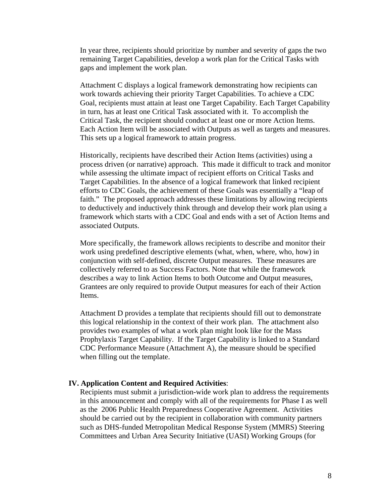In year three, recipients should prioritize by number and severity of gaps the two remaining Target Capabilities, develop a work plan for the Critical Tasks with gaps and implement the work plan.

Attachment C displays a logical framework demonstrating how recipients can work towards achieving their priority Target Capabilities. To achieve a CDC Goal, recipients must attain at least one Target Capability. Each Target Capability in turn, has at least one Critical Task associated with it. To accomplish the Critical Task, the recipient should conduct at least one or more Action Items. Each Action Item will be associated with Outputs as well as targets and measures. This sets up a logical framework to attain progress.

Historically, recipients have described their Action Items (activities) using a process driven (or narrative) approach. This made it difficult to track and monitor while assessing the ultimate impact of recipient efforts on Critical Tasks and Target Capabilities. In the absence of a logical framework that linked recipient efforts to CDC Goals, the achievement of these Goals was essentially a "leap of faith." The proposed approach addresses these limitations by allowing recipients to deductively and inductively think through and develop their work plan using a framework which starts with a CDC Goal and ends with a set of Action Items and associated Outputs.

More specifically, the framework allows recipients to describe and monitor their work using predefined descriptive elements (what, when, where, who, how) in conjunction with self-defined, discrete Output measures. These measures are collectively referred to as Success Factors. Note that while the framework describes a way to link Action Items to both Outcome and Output measures, Grantees are only required to provide Output measures for each of their Action Items.

Attachment D provides a template that recipients should fill out to demonstrate this logical relationship in the context of their work plan. The attachment also provides two examples of what a work plan might look like for the Mass Prophylaxis Target Capability. If the Target Capability is linked to a Standard CDC Performance Measure (Attachment A), the measure should be specified when filling out the template.

#### **IV. Application Content and Required Activities**:

Recipients must submit a jurisdiction-wide work plan to address the requirements in this announcement and comply with all of the requirements for Phase I as well as the 2006 Public Health Preparedness Cooperative Agreement. Activities should be carried out by the recipient in collaboration with community partners such as DHS-funded Metropolitan Medical Response System (MMRS) Steering Committees and Urban Area Security Initiative (UASI) Working Groups (for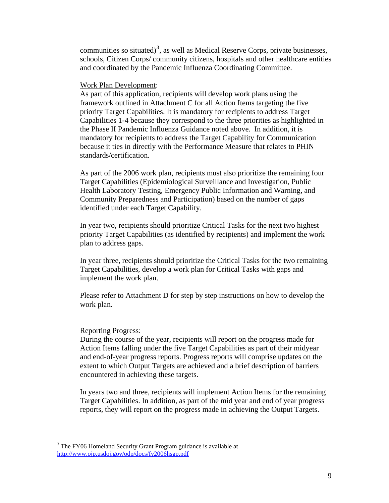<span id="page-8-0"></span>communities so situated)<sup>[3](#page-8-0)</sup>, as well as Medical Reserve Corps, private businesses, schools, Citizen Corps/ community citizens, hospitals and other healthcare entities and coordinated by the Pandemic Influenza Coordinating Committee.

#### Work Plan Development:

As part of this application, recipients will develop work plans using the framework outlined in Attachment C for all Action Items targeting the five priority Target Capabilities. It is mandatory for recipients to address Target Capabilities 1-4 because they correspond to the three priorities as highlighted in the Phase II Pandemic Influenza Guidance noted above. In addition, it is mandatory for recipients to address the Target Capability for Communication because it ties in directly with the Performance Measure that relates to PHIN standards/certification.

As part of the 2006 work plan, recipients must also prioritize the remaining four Target Capabilities (Epidemiological Surveillance and Investigation, Public Health Laboratory Testing, Emergency Public Information and Warning, and Community Preparedness and Participation) based on the number of gaps identified under each Target Capability.

In year two, recipients should prioritize Critical Tasks for the next two highest priority Target Capabilities (as identified by recipients) and implement the work plan to address gaps.

In year three, recipients should prioritize the Critical Tasks for the two remaining Target Capabilities, develop a work plan for Critical Tasks with gaps and implement the work plan.

Please refer to Attachment D for step by step instructions on how to develop the work plan.

#### Reporting Progress:

During the course of the year, recipients will report on the progress made for Action Items falling under the five Target Capabilities as part of their midyear and end-of-year progress reports. Progress reports will comprise updates on the extent to which Output Targets are achieved and a brief description of barriers encountered in achieving these targets.

In years two and three, recipients will implement Action Items for the remaining Target Capabilities. In addition, as part of the mid year and end of year progress reports, they will report on the progress made in achieving the Output Targets.

<sup>&</sup>lt;sup>3</sup> The FY06 Homeland Security Grant Program guidance is available at <http://www.ojp.usdoj.gov/odp/docs/fy2006hsgp.pdf>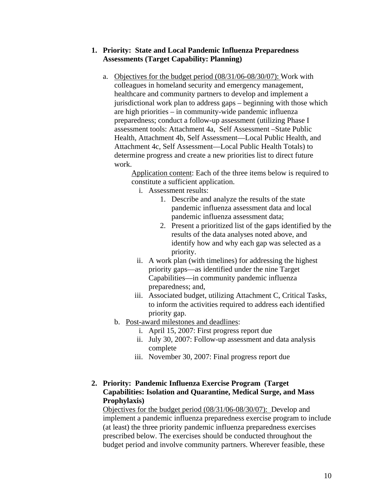#### **1. Priority: State and Local Pandemic Influenza Preparedness Assessments (Target Capability: Planning)**

a. Objectives for the budget period (08/31/06-08/30/07): Work with colleagues in homeland security and emergency management, healthcare and community partners to develop and implement a jurisdictional work plan to address gaps – beginning with those which are high priorities – in community-wide pandemic influenza preparedness; conduct a follow-up assessment (utilizing Phase I assessment tools: Attachment 4a, Self Assessment –State Public Health, Attachment 4b, Self Assessment—Local Public Health, and Attachment 4c, Self Assessment—Local Public Health Totals) to determine progress and create a new priorities list to direct future work.

> Application content: Each of the three items below is required to constitute a sufficient application.

- i. Assessment results:
	- 1. Describe and analyze the results of the state pandemic influenza assessment data and local pandemic influenza assessment data;
	- 2. Present a prioritized list of the gaps identified by the results of the data analyses noted above, and identify how and why each gap was selected as a priority.
- ii. A work plan (with timelines) for addressing the highest priority gaps—as identified under the nine Target Capabilities—in community pandemic influenza preparedness; and,
- iii. Associated budget, utilizing Attachment C, Critical Tasks, to inform the activities required to address each identified priority gap.
- b. Post-award milestones and deadlines:
	- i. April 15, 2007: First progress report due
	- ii. July 30, 2007: Follow-up assessment and data analysis complete
	- iii. November 30, 2007: Final progress report due

#### **2. Priority: Pandemic Influenza Exercise Program (Target Capabilities: Isolation and Quarantine, Medical Surge, and Mass Prophylaxis)**

Objectives for the budget period (08/31/06-08/30/07): Develop and implement a pandemic influenza preparedness exercise program to include (at least) the three priority pandemic influenza preparedness exercises prescribed below. The exercises should be conducted throughout the budget period and involve community partners. Wherever feasible, these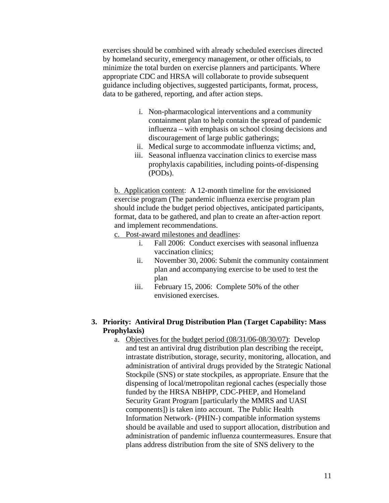exercises should be combined with already scheduled exercises directed by homeland security, emergency management, or other officials, to minimize the total burden on exercise planners and participants. Where appropriate CDC and HRSA will collaborate to provide subsequent guidance including objectives, suggested participants, format, process, data to be gathered, reporting, and after action steps.

- i. Non-pharmacological interventions and a community containment plan to help contain the spread of pandemic influenza – with emphasis on school closing decisions and discouragement of large public gatherings;
- ii. Medical surge to accommodate influenza victims; and,
- iii. Seasonal influenza vaccination clinics to exercise mass prophylaxis capabilities, including points-of-dispensing (PODs).

b. Application content: A 12-month timeline for the envisioned exercise program (The pandemic influenza exercise program plan should include the budget period objectives, anticipated participants, format, data to be gathered, and plan to create an after-action report and implement recommendations.

c. Post-award milestones and deadlines:

- i. Fall 2006: Conduct exercises with seasonal influenza vaccination clinics;
- ii. November 30, 2006: Submit the community containment plan and accompanying exercise to be used to test the plan
- iii. February 15, 2006: Complete 50% of the other envisioned exercises.

#### **3. Priority: Antiviral Drug Distribution Plan (Target Capability: Mass Prophylaxis)**

a. Objectives for the budget period (08/31/06-08/30/07): Develop and test an antiviral drug distribution plan describing the receipt, intrastate distribution, storage, security, monitoring, allocation, and administration of antiviral drugs provided by the Strategic National Stockpile (SNS) or state stockpiles, as appropriate. Ensure that the dispensing of local/metropolitan regional caches (especially those funded by the HRSA NBHPP, CDC-PHEP, and Homeland Security Grant Program [particularly the MMRS and UASI components]) is taken into account. The Public Health Information Network- (PHIN-) compatible information systems should be available and used to support allocation, distribution and administration of pandemic influenza countermeasures. Ensure that plans address distribution from the site of SNS delivery to the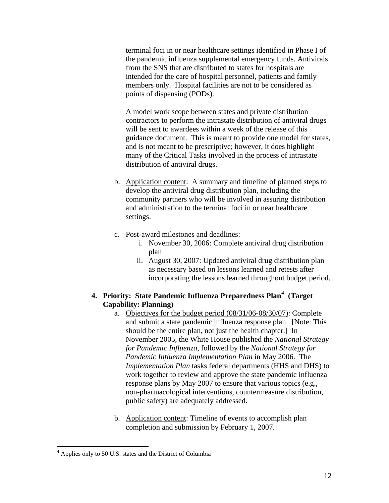<span id="page-11-0"></span>terminal foci in or near healthcare settings identified in Phase I of the pandemic influenza supplemental emergency funds. Antivirals from the SNS that are distributed to states for hospitals are intended for the care of hospital personnel, patients and family members only. Hospital facilities are not to be considered as points of dispensing (PODs).

A model work scope between states and private distribution contractors to perform the intrastate distribution of antiviral drugs will be sent to awardees within a week of the release of this guidance document. This is meant to provide one model for states, and is not meant to be prescriptive; however, it does highlight many of the Critical Tasks involved in the process of intrastate distribution of antiviral drugs.

- b. Application content: A summary and timeline of planned steps to develop the antiviral drug distribution plan, including the community partners who will be involved in assuring distribution and administration to the terminal foci in or near healthcare settings.
- c. Post-award milestones and deadlines:
	- i. November 30, 2006: Complete antiviral drug distribution plan
	- ii. August 30, 2007: Updated antiviral drug distribution plan as necessary based on lessons learned and retests after incorporating the lessons learned throughout budget period.

## **4. Priority: State Pandemic Influenza Preparedness Plan[4](#page-11-0) (Target Capability: Planning)**

- a. Objectives for the budget period (08/31/06-08/30/07): Complete and submit a state pandemic influenza response plan. [Note: This should be the entire plan, not just the health chapter.] In November 2005, the White House published the *National Strategy for Pandemic Influenza*, followed by the *National Strategy for Pandemic Influenza Implementation Plan* in May 2006. The *Implementation Plan* tasks federal departments (HHS and DHS) to work together to review and approve the state pandemic influenza response plans by May 2007 to ensure that various topics (e.g., non-pharmacological interventions, countermeasure distribution, public safety) are adequately addressed.
- b. Application content: Timeline of events to accomplish plan completion and submission by February 1, 2007.

 $\overline{a}$ <sup>4</sup> Applies only to 50 U.S. states and the District of Columbia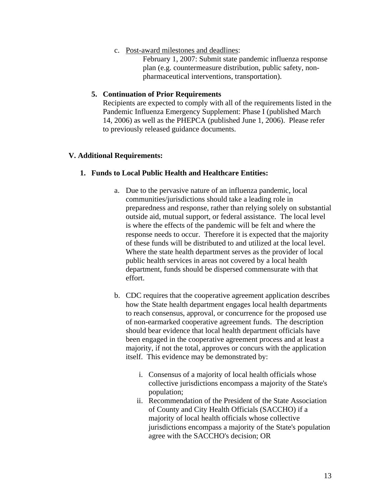c. Post-award milestones and deadlines:

February 1, 2007: Submit state pandemic influenza response plan (e.g. countermeasure distribution, public safety, nonpharmaceutical interventions, transportation).

#### **5. Continuation of Prior Requirements**

Recipients are expected to comply with all of the requirements listed in the Pandemic Influenza Emergency Supplement: Phase I (published March 14, 2006) as well as the PHEPCA (published June 1, 2006). Please refer to previously released guidance documents.

#### **V. Additional Requirements:**

#### **1. Funds to Local Public Health and Healthcare Entities:**

- a. Due to the pervasive nature of an influenza pandemic, local communities/jurisdictions should take a leading role in preparedness and response, rather than relying solely on substantial outside aid, mutual support, or federal assistance. The local level is where the effects of the pandemic will be felt and where the response needs to occur. Therefore it is expected that the majority of these funds will be distributed to and utilized at the local level. Where the state health department serves as the provider of local public health services in areas not covered by a local health department, funds should be dispersed commensurate with that effort.
- b. CDC requires that the cooperative agreement application describes how the State health department engages local health departments to reach consensus, approval, or concurrence for the proposed use of non-earmarked cooperative agreement funds. The description should bear evidence that local health department officials have been engaged in the cooperative agreement process and at least a majority, if not the total, approves or concurs with the application itself. This evidence may be demonstrated by:
	- i. Consensus of a majority of local health officials whose collective jurisdictions encompass a majority of the State's population;
	- ii. Recommendation of the President of the State Association of County and City Health Officials (SACCHO) if a majority of local health officials whose collective jurisdictions encompass a majority of the State's population agree with the SACCHO's decision; OR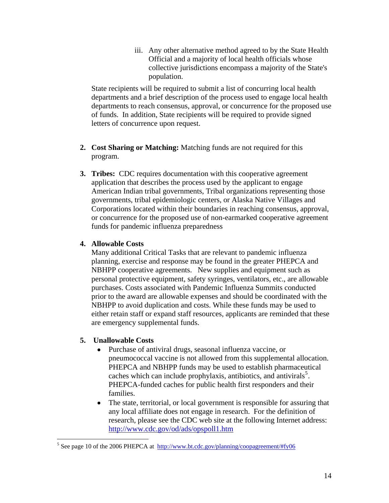iii. Any other alternative method agreed to by the State Health Official and a majority of local health officials whose collective jurisdictions encompass a majority of the State's population.

<span id="page-13-0"></span>State recipients will be required to submit a list of concurring local health departments and a brief description of the process used to engage local health departments to reach consensus, approval, or concurrence for the proposed use of funds. In addition, State recipients will be required to provide signed letters of concurrence upon request.

- **2. Cost Sharing or Matching:** Matching funds are not required for this program.
- **3. Tribes:** CDC requires documentation with this cooperative agreement application that describes the process used by the applicant to engage American Indian tribal governments, Tribal organizations representing those governments, tribal epidemiologic centers, or Alaska Native Villages and Corporations located within their boundaries in reaching consensus, approval, or concurrence for the proposed use of non-earmarked cooperative agreement funds for pandemic influenza preparedness

#### **4. Allowable Costs**

Many additional Critical Tasks that are relevant to pandemic influenza planning, exercise and response may be found in the greater PHEPCA and NBHPP cooperative agreements. New supplies and equipment such as personal protective equipment, safety syringes, ventilators, etc., are allowable purchases. Costs associated with Pandemic Influenza Summits conducted prior to the award are allowable expenses and should be coordinated with the NBHPP to avoid duplication and costs. While these funds may be used to either retain staff or expand staff resources, applicants are reminded that these are emergency supplemental funds.

#### **5. Unallowable Costs**

- Purchase of antiviral drugs, seasonal influenza vaccine, or pneumococcal vaccine is not allowed from this supplemental allocation. PHEPCA and NBHPP funds may be used to establish pharmaceutical caches which can include prophylaxis, antibiotics, and antivirals<sup>[5](#page-13-0)</sup>. PHEPCA-funded caches for public health first responders and their families.
- The state, territorial, or local government is responsible for assuring that any local affiliate does not engage in research. For the definition of research, please see the CDC web site at the following Internet address: http://www.cdc.gov/od/ads/opspoll1.htm

<sup>&</sup>lt;sup>5</sup> See page 10 of the 2006 PHEPCA at <http://www.bt.cdc.gov/planning/coopagreement/#fy06>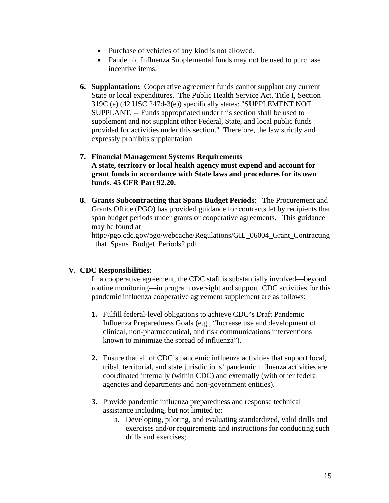- Purchase of vehicles of any kind is not allowed.
- Pandemic Influenza Supplemental funds may not be used to purchase incentive items.
- **6. Supplantation:** Cooperative agreement funds cannot supplant any current State or local expenditures. The Public Health Service Act, Title I, Section 319C (e) (42 USC 247d-3(e)) specifically states: "SUPPLEMENT NOT SUPPLANT. -- Funds appropriated under this section shall be used to supplement and not supplant other Federal, State, and local public funds provided for activities under this section." Therefore, the law strictly and expressly prohibits supplantation.
- **7. Financial Management Systems Requirements A state, territory or local health agency must expend and account for grant funds in accordance with State laws and procedures for its own funds. 45 CFR Part 92.20.**
- **8. Grants Subcontracting that Spans Budget Periods**: The Procurement and Grants Office (PGO) has provided guidance for contracts let by recipients that span budget periods under grants or cooperative agreements. This guidance may be found at

http://pgo.cdc.gov/pgo/webcache/Regulations/GIL\_06004\_Grant\_Contracting \_that\_Spans\_Budget\_Periods2.pdf

#### **V. CDC Responsibilities:**

In a cooperative agreement, the CDC staff is substantially involved—beyond routine monitoring—in program oversight and support. CDC activities for this pandemic influenza cooperative agreement supplement are as follows:

- **1.** Fulfill federal-level obligations to achieve CDC's Draft Pandemic Influenza Preparedness Goals (e.g., "Increase use and development of clinical, non-pharmaceutical, and risk communications interventions known to minimize the spread of influenza").
- **2.** Ensure that all of CDC's pandemic influenza activities that support local, tribal, territorial, and state jurisdictions' pandemic influenza activities are coordinated internally (within CDC) and externally (with other federal agencies and departments and non-government entities).
- **3.** Provide pandemic influenza preparedness and response technical assistance including, but not limited to:
	- a. Developing, piloting, and evaluating standardized, valid drills and exercises and/or requirements and instructions for conducting such drills and exercises;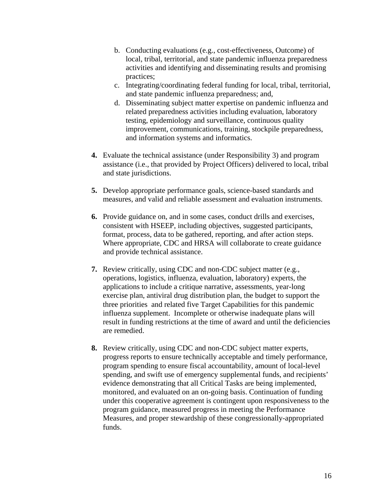- b. Conducting evaluations (e.g., cost-effectiveness, Outcome) of local, tribal, territorial, and state pandemic influenza preparedness activities and identifying and disseminating results and promising practices;
- c. Integrating/coordinating federal funding for local, tribal, territorial, and state pandemic influenza preparedness; and,
- d. Disseminating subject matter expertise on pandemic influenza and related preparedness activities including evaluation, laboratory testing, epidemiology and surveillance, continuous quality improvement, communications, training, stockpile preparedness, and information systems and informatics.
- **4.** Evaluate the technical assistance (under Responsibility 3) and program assistance (i.e., that provided by Project Officers) delivered to local, tribal and state jurisdictions.
- **5.** Develop appropriate performance goals, science-based standards and measures, and valid and reliable assessment and evaluation instruments.
- **6.** Provide guidance on, and in some cases, conduct drills and exercises, consistent with HSEEP, including objectives, suggested participants, format, process, data to be gathered, reporting, and after action steps. Where appropriate, CDC and HRSA will collaborate to create guidance and provide technical assistance.
- **7.** Review critically, using CDC and non-CDC subject matter (e.g., operations, logistics, influenza, evaluation, laboratory) experts, the applications to include a critique narrative, assessments, year-long exercise plan, antiviral drug distribution plan, the budget to support the three priorities and related five Target Capabilities for this pandemic influenza supplement. Incomplete or otherwise inadequate plans will result in funding restrictions at the time of award and until the deficiencies are remedied.
- **8.** Review critically, using CDC and non-CDC subject matter experts, progress reports to ensure technically acceptable and timely performance, program spending to ensure fiscal accountability, amount of local-level spending, and swift use of emergency supplemental funds, and recipients' evidence demonstrating that all Critical Tasks are being implemented, monitored, and evaluated on an on-going basis. Continuation of funding under this cooperative agreement is contingent upon responsiveness to the program guidance, measured progress in meeting the Performance Measures, and proper stewardship of these congressionally-appropriated funds.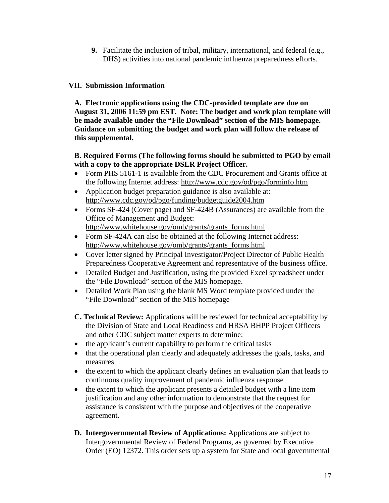**9.** Facilitate the inclusion of tribal, military, international, and federal (e.g., DHS) activities into national pandemic influenza preparedness efforts.

### **VII. Submission Information**

**A. Electronic applications using the CDC-provided template are due on August 31, 2006 11:59 pm EST. Note: The budget and work plan template will be made available under the "File Download" section of the MIS homepage. Guidance on submitting the budget and work plan will follow the release of this supplemental.** 

#### **B. Required Forms (The following forms should be submitted to PGO by email with a copy to the appropriate DSLR Project Officer.**

- Form PHS 5161-1 is available from the CDC Procurement and Grants office at the following Internet address: http://www.cdc.gov/od/pgo/forminfo.htm
- Application budget preparation guidance is also available at: http://www.cdc.gov/od/pgo/funding/budgetguide2004.htm
- Forms SF-424 (Cover page) and SF-424B (Assurances) are available from the Office of Management and Budget: http://www.whitehouse.gov/omb/grants/grants\_forms.html
- Form SF-424A can also be obtained at the following Internet address: http://www.whitehouse.gov/omb/grants/grants\_forms.html
- Cover letter signed by Principal Investigator/Project Director of Public Health Preparedness Cooperative Agreement and representative of the business office.
- Detailed Budget and Justification, using the provided Excel spreadsheet under the "File Download" section of the MIS homepage.
- Detailed Work Plan using the blank MS Word template provided under the "File Download" section of the MIS homepage
- **C. Technical Review:** Applications will be reviewed for technical acceptability by the Division of State and Local Readiness and HRSA BHPP Project Officers and other CDC subject matter experts to determine:
- the applicant's current capability to perform the critical tasks
- that the operational plan clearly and adequately addresses the goals, tasks, and measures
- the extent to which the applicant clearly defines an evaluation plan that leads to continuous quality improvement of pandemic influenza response
- the extent to which the applicant presents a detailed budget with a line item justification and any other information to demonstrate that the request for assistance is consistent with the purpose and objectives of the cooperative agreement.
- **D. Intergovernmental Review of Applications:** Applications are subject to Intergovernmental Review of Federal Programs, as governed by Executive Order (EO) 12372. This order sets up a system for State and local governmental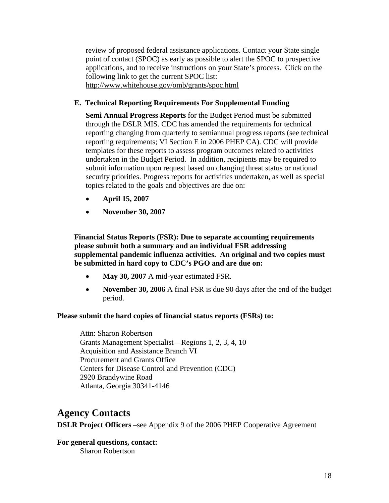review of proposed federal assistance applications. Contact your State single point of contact (SPOC) as early as possible to alert the SPOC to prospective applications, and to receive instructions on your State's process. Click on the following link to get the current SPOC list: http://www.whitehouse.gov/omb/grants/spoc.html

#### **E. Technical Reporting Requirements For Supplemental Funding**

**Semi Annual Progress Reports** for the Budget Period must be submitted through the DSLR MIS. CDC has amended the requirements for technical reporting changing from quarterly to semiannual progress reports (see technical reporting requirements; VI Section E in 2006 PHEP CA). CDC will provide templates for these reports to assess program outcomes related to activities undertaken in the Budget Period. In addition, recipients may be required to submit information upon request based on changing threat status or national security priorities. Progress reports for activities undertaken, as well as special topics related to the goals and objectives are due on:

- **April 15, 2007**
- **November 30, 2007**

**Financial Status Reports (FSR): Due to separate accounting requirements please submit both a summary and an individual FSR addressing supplemental pandemic influenza activities. An original and two copies must be submitted in hard copy to CDC's PGO and are due on:** 

- **May 30, 2007** A mid-year estimated FSR.
- **November 30, 2006** A final FSR is due 90 days after the end of the budget period.

#### **Please submit the hard copies of financial status reports (FSRs) to:**

Attn: Sharon Robertson Grants Management Specialist—Regions 1, 2, 3, 4, 10 Acquisition and Assistance Branch VI Procurement and Grants Office Centers for Disease Control and Prevention (CDC) 2920 Brandywine Road Atlanta, Georgia 30341-4146

# **Agency Contacts**

**DSLR Project Officers** –see Appendix 9 of the 2006 PHEP Cooperative Agreement

**For general questions, contact:**  Sharon Robertson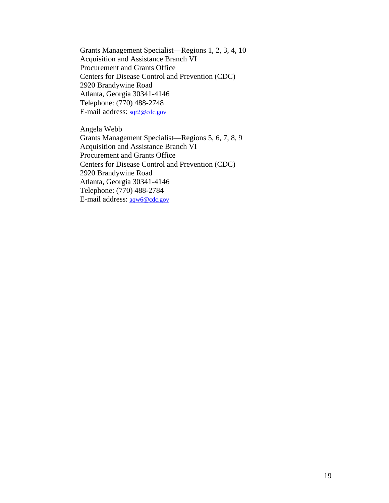Grants Management Specialist—Regions 1, 2, 3, 4, 10 Acquisition and Assistance Branch VI Procurement and Grants Office Centers for Disease Control and Prevention (CDC) 2920 Brandywine Road Atlanta, Georgia 30341-4146 Telephone: (770) 488-2748 E-mail address: [sqr2@cdc.gov](mailto:sqr2@cdc.gov)

Angela Webb Grants Management Specialist—Regions 5, 6, 7, 8, 9 Acquisition and Assistance Branch VI Procurement and Grants Office Centers for Disease Control and Prevention (CDC) 2920 Brandywine Road Atlanta, Georgia 30341-4146 Telephone: (770) 488-2784 E-mail address: [aqw6@cdc.gov](mailto:aqw6@cdc.gov)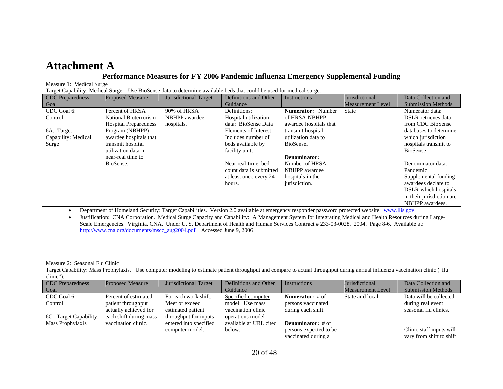# **Attachment A**

#### **Performance Measures for FY 2006 Pandemic Influenza Emergency Supplemental Funding**

Measure 1: Medical Surge

Target Capability: Medical Surge. Use BioSense data to determine available beds that could be used for medical surge.

| <b>CDC</b> Preparedness | <b>Proposed Measure</b>      | Jurisdictional Target | Definitions and Other   | Instructions             | Jurisdictional           | Data Collection and        |
|-------------------------|------------------------------|-----------------------|-------------------------|--------------------------|--------------------------|----------------------------|
| Goal                    |                              |                       | Guidance                |                          | <b>Measurement Level</b> | <b>Submission Methods</b>  |
| CDC Goal 6:             | Percent of HRSA              | 90% of HRSA           | Definitions:            | <b>Numerator:</b> Number | <b>State</b>             | Numerator data:            |
| Control                 | National Bioterrorism        | NBHPP awardee         | Hospital utilization    | of HRSA NBHPP            |                          | <b>DSLR</b> retrieves data |
|                         | <b>Hospital Preparedness</b> | hospitals.            | data: BioSense Data     | awardee hospitals that   |                          | from CDC BioSense          |
| 6A: Target              | Program (NBHPP)              |                       | Elements of Interest:   | transmit hospital        |                          | databases to determine     |
| Capability: Medical     | awardee hospitals that       |                       | Includes number of      | utilization data to      |                          | which jurisdiction         |
| Surge                   | transmit hospital            |                       | beds available by       | BioSense.                |                          | hospitals transmit to      |
|                         | utilization data in          |                       | facility unit.          |                          |                          | <b>BioSense</b>            |
|                         | near-real time to            |                       |                         | Denominator:             |                          |                            |
|                         | BioSense.                    |                       | Near real-time: bed-    | Number of HRSA           |                          | Denominator data:          |
|                         |                              |                       | count data is submitted | NBHPP awardee            |                          | Pandemic                   |
|                         |                              |                       | at least once every 24  | hospitals in the         |                          | Supplemental funding       |
|                         |                              |                       | hours.                  | jurisdiction.            |                          | awardees declare to        |
|                         |                              |                       |                         |                          |                          | DSLR which hospitals       |
|                         |                              |                       |                         |                          |                          | in their jurisdiction are  |
|                         |                              |                       |                         |                          |                          | NBHPP awardees.            |

•Department of Homeland Security: Target Capabilities. Version 2.0 available at emergency responder password protected website: [www.llis.gov](http://www.llis.gov/)

 $\bullet$  Justification: CNA Corporation. Medical Surge Capacity and Capability: A Management System for Integrating Medical and Health Resources during Large-Scale Emergencies. Virginia, CNA. Under U. S. Department of Health and Human Services Contract # 233-03-0028. 2004. Page 8-6. Available at: [http://www.cna.org/documents/mscc\\_aug2004.pdf](http://www.cna.org/documents/mscc_aug2004.pdf) Accessed June 9, 2006.

Measure 2: Seasonal Flu Clinic

Target Capability: Mass Prophylaxis. Use computer modeling to estimate patient throughput and compare to actual throughput during annual influenza vaccination clinic ("flu clinic").

| <b>CDC</b> Preparedness | <b>Proposed Measure</b> | Jurisdictional Target  | Definitions and Other  | Instructions             | Jurisdictional           | Data Collection and       |
|-------------------------|-------------------------|------------------------|------------------------|--------------------------|--------------------------|---------------------------|
| Goal                    |                         |                        | Guidance               |                          | <b>Measurement Level</b> | <b>Submission Methods</b> |
| CDC Goal 6:             | Percent of estimated    | For each work shift:   | Specified computer     | <b>Numerator:</b> # of   | State and local          | Data will be collected    |
| Control                 | patient throughput      | Meet or exceed         | model: Use mass        | persons vaccinated       |                          | during real event         |
|                         | actually achieved for   | estimated patient      | vaccination clinic     | during each shift.       |                          | seasonal flu clinics.     |
| 6C: Target Capability:  | each shift during mass  | throughput for inputs  | operations model       |                          |                          |                           |
| Mass Prophylaxis        | vaccination clinic.     | entered into specified | available at URL cited | <b>Denominator:</b> # of |                          |                           |
|                         |                         | computer model.        | below.                 | persons expected to be   |                          | Clinic staff inputs will  |
|                         |                         |                        |                        | vaccinated during a      |                          | vary from shift to shift  |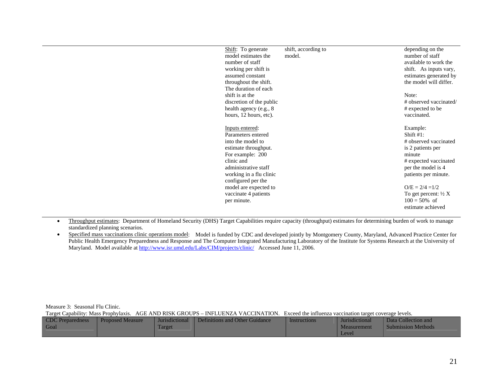| Shift: To generate       | shift, according to | depending on the                |
|--------------------------|---------------------|---------------------------------|
| model estimates the      | model.              | number of staff                 |
| number of staff          |                     | available to work the           |
| working per shift is     |                     | shift. As inputs vary,          |
| assumed constant         |                     | estimates generated by          |
| throughout the shift.    |                     | the model will differ.          |
| The duration of each     |                     |                                 |
| shift is at the          |                     | Note:                           |
| discretion of the public |                     | # observed vaccinated/          |
| health agency (e.g., 8)  |                     | # expected to be                |
| hours, 12 hours, etc).   |                     | vaccinated.                     |
|                          |                     |                                 |
| Inputs entered:          |                     | Example:                        |
| Parameters entered       |                     | Shift $#1$ :                    |
| into the model to        |                     | # observed vaccinated           |
| estimate throughput.     |                     | is 2 patients per               |
| For example: 200         |                     | minute                          |
| clinic and               |                     | # expected vaccinated           |
| administrative staff     |                     | per the model is 4              |
| working in a flu clinic  |                     | patients per minute.            |
| configured per the       |                     |                                 |
| model are expected to    |                     | $O/E = 2/4 = 1/2$               |
| vaccinate 4 patients     |                     | To get percent: $\frac{1}{2} X$ |
| per minute.              |                     | $100 = 50\%$ of                 |
|                          |                     | estimate achieved               |
|                          |                     |                                 |

• Throughput estimates: Department of Homeland Security (DHS) Target Capabilities require capacity (throughput) estimates for determining burden of work to manage standardized planning scenarios.

•Specified mass vaccinations clinic operations model: Model is funded by CDC and developed jointly by Montgomery County, Maryland, Advanced Practice Center for Public Health Emergency Preparedness and Response and The Computer Integrated Manufacturing Laboratory of the Institute for Systems Research at the University of Maryland. Model available at<http://www.isr.umd.edu/Labs/CIM/projects/clinic/> Accessed June 11, 2006.

Measure 3: Seasonal Flu Clinic.

Target Capability: Mass Prophylaxis. AGE AND RISK GROUPS – INFLUENZA VACCINATION. Exceed the influenza vaccination target coverage levels.

| <b>CDC</b> Preparedness | <b>Proposed Measure</b> | Jurisdictional | Definitions and Other Guidance | Instructions | <b>Jurisdictional</b> | Data Collection and       |
|-------------------------|-------------------------|----------------|--------------------------------|--------------|-----------------------|---------------------------|
| Goa.                    |                         | Target         |                                |              | <b>Measurement</b>    | <b>Submission Methods</b> |
|                         |                         |                |                                |              | Level                 |                           |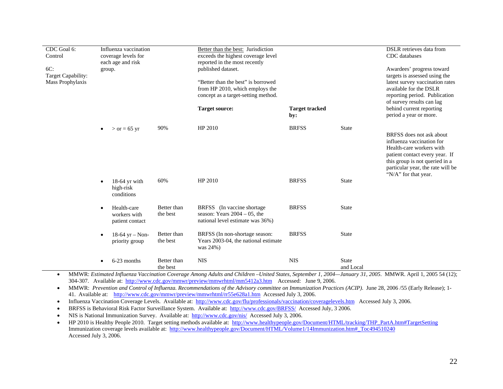| CDC Goal 6:<br>Control<br>$6C$ :<br>Target Capability:<br>Mass Prophylaxis | group.    | Influenza vaccination<br>coverage levels for<br>each age and risk |                         | Better than the best: Jurisdiction<br>exceeds the highest coverage level<br>reported in the most recently<br>published dataset.<br>"Better than the best" is borrowed<br>from HP 2010, which employs the<br>concept as a target-setting method.<br><b>Target source:</b> | <b>Target tracked</b> |                           | DSLR retrieves data from<br>CDC databases<br>Awardees' progress toward<br>targets is assessed using the<br>latest survey vaccination rates<br>available for the DSLR<br>reporting period. Publication<br>of survey results can lag<br>behind current reporting |
|----------------------------------------------------------------------------|-----------|-------------------------------------------------------------------|-------------------------|--------------------------------------------------------------------------------------------------------------------------------------------------------------------------------------------------------------------------------------------------------------------------|-----------------------|---------------------------|----------------------------------------------------------------------------------------------------------------------------------------------------------------------------------------------------------------------------------------------------------------|
|                                                                            |           |                                                                   |                         |                                                                                                                                                                                                                                                                          | by:                   |                           | period a year or more.                                                                                                                                                                                                                                         |
|                                                                            | $\bullet$ | $>$ or = 65 yr                                                    | 90%                     | HP 2010                                                                                                                                                                                                                                                                  | <b>BRFSS</b>          | <b>State</b>              | BRFSS does not ask about<br>influenza vaccination for<br>Health-care workers with<br>patient contact every year. If<br>this group is not queried in a<br>particular year, the rate will be<br>"N/A" for that year.                                             |
|                                                                            | $\bullet$ | $18-64$ yr with<br>high-risk<br>conditions                        | 60%                     | HP 2010                                                                                                                                                                                                                                                                  | <b>BRFSS</b>          | <b>State</b>              |                                                                                                                                                                                                                                                                |
|                                                                            | $\bullet$ | Health-care<br>workers with<br>patient contact                    | Better than<br>the best | BRFSS (In vaccine shortage)<br>season: Years $2004 - 05$ , the<br>national level estimate was 36%)                                                                                                                                                                       | <b>BRFSS</b>          | <b>State</b>              |                                                                                                                                                                                                                                                                |
|                                                                            | $\bullet$ | $18-64$ yr - Non-<br>priority group                               | Better than<br>the best | BRFSS (In non-shortage season:<br>Years 2003-04, the national estimate<br>was 24%)                                                                                                                                                                                       | <b>BRFSS</b>          | <b>State</b>              |                                                                                                                                                                                                                                                                |
|                                                                            | $\bullet$ | 6-23 months                                                       | Better than<br>the best | <b>NIS</b><br>MMWR: Estimated Influenza Vaccination Coverage Among Adults and Children, United States, September 1, 2004, January 31, 2005, MMWR, April 1, 2005, 54 (12):                                                                                                | <b>NIS</b>            | <b>State</b><br>and Local |                                                                                                                                                                                                                                                                |

• MMWR: *Estimated Influenza Vaccination Coverage Among Adults and Children –United States, September 1, 2004—January 31, 2005*. MMWR. April 1, 2005 54 (12); 304-307. Available at: <http://www.cdc.gov/mmwr/preview/mmwrhtml/mm5412a3.htm>Accessed: June 9, 2006.

• MMWR: *Prevention and Control of Influenza. Recommendations of the Advisory committee on Immunization Practices (ACIP)*. June 28, 2006 /55 (Early Release); 1- 41. Available at: <http://www.cdc.gov/mmwr/preview/mmwrhtml/rr55e628a1.htm> Accessed July 3, 2006.

•Influenza Vaccination Coverage Levels. Available at: <http://www.cdc.gov/flu/professionals/vaccination/coveragelevels.htm> Accessed July 3, 2006.

•BRFSS is Behavioral Risk Factor Surveillance System. Available at: <http://www.cdc.gov/BRFSS/>Accessed July, 3 2006.

•NIS is National Immunization Survey. Available at: <http://www.cdc.gov/nis/>Accessed July 3, 2006.

•HP 2010 is Healthy People 2010. Target setting methods available at: [http://www.healthypeople.gov/Document/HTML/tracking/THP\\_PartA.htm#TargetSetting](http://www.healthypeople.gov/Document/HTML/tracking/THP_PartA.htm#TargetSetting) Immunization coverage levels available at: [http://www.healthypeople.gov/Document/HTML/Volume1/14Immunization.htm#\\_Toc494510240](http://www.healthypeople.gov/Document/HTML/Volume1/14Immunization.htm#_Toc494510240) Accessed July 3, 2006.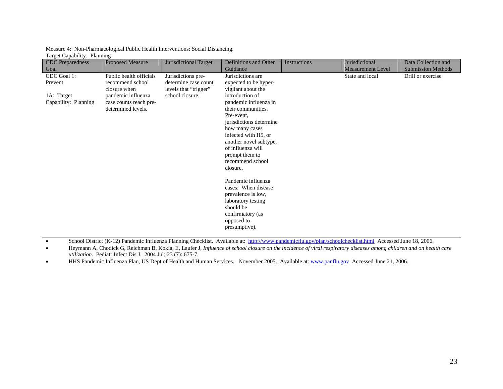| Measure 4: Non-Pharmacological Public Health Interventions: Social Distancing. |  |
|--------------------------------------------------------------------------------|--|
| Target Capability: Planning                                                    |  |

| <b>CDC</b> Preparedness | <b>Proposed Measure</b> | Jurisdictional Target | Definitions and Other              | Instructions | Jurisdictional           | Data Collection and       |
|-------------------------|-------------------------|-----------------------|------------------------------------|--------------|--------------------------|---------------------------|
| Goal                    |                         |                       | Guidance                           |              | <b>Measurement Level</b> | <b>Submission Methods</b> |
| CDC Goal 1:             | Public health officials | Jurisdictions pre-    | Jurisdictions are                  |              | State and local          | Drill or exercise         |
| Prevent                 | recommend school        | determine case count  | expected to be hyper-              |              |                          |                           |
|                         | closure when            | levels that "trigger" | vigilant about the                 |              |                          |                           |
| 1A: Target              | pandemic influenza      | school closure.       | introduction of                    |              |                          |                           |
| Capability: Planning    | case counts reach pre-  |                       | pandemic influenza in              |              |                          |                           |
|                         | determined levels.      |                       | their communities.                 |              |                          |                           |
|                         |                         |                       | Pre-event,                         |              |                          |                           |
|                         |                         |                       | jurisdictions determine            |              |                          |                           |
|                         |                         |                       | how many cases                     |              |                          |                           |
|                         |                         |                       | infected with H <sub>5</sub> , or  |              |                          |                           |
|                         |                         |                       | another novel subtype,             |              |                          |                           |
|                         |                         |                       | of influenza will                  |              |                          |                           |
|                         |                         |                       | prompt them to<br>recommend school |              |                          |                           |
|                         |                         |                       | closure.                           |              |                          |                           |
|                         |                         |                       |                                    |              |                          |                           |
|                         |                         |                       | Pandemic influenza                 |              |                          |                           |
|                         |                         |                       | cases: When disease                |              |                          |                           |
|                         |                         |                       | prevalence is low,                 |              |                          |                           |
|                         |                         |                       | laboratory testing                 |              |                          |                           |
|                         |                         |                       | should be                          |              |                          |                           |
|                         |                         |                       | confirmatory (as                   |              |                          |                           |
|                         |                         |                       | opposed to                         |              |                          |                           |
|                         |                         |                       | presumptive).                      |              |                          |                           |
|                         |                         |                       |                                    |              |                          |                           |

•School District (K-12) Pandemic Influenza Planning Checklist. Available at: <http://www.pandemicflu.gov/plan/schoolchecklist.html>Accessed June 18, 2006.

• Heymann A, Chodick G, Reichman B, Kokia, E, Laufer J*, Influence of school closure on the incidence of viral respiratory diseases among children and on health care utilization.* Pediatr Infect Dis J. 2004 Jul; 23 (7): 675-7.

•HHS Pandemic Influenza Plan, US Dept of Health and Human Services. November 2005. Available at: [www.panflu.gov](http://www.panflu.gov/) Accessed June 21, 2006.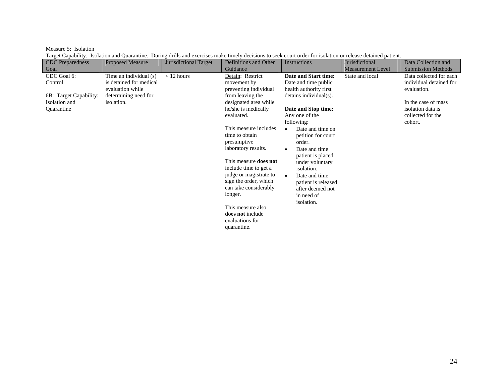Measure 5: Isolation

Target Capability: Isolation and Quarantine. During drills and exercises make timely decisions to seek court order for isolation or release detained patient.

| <b>CDC</b> Preparedness                                                         | <b>Proposed Measure</b>                                                                                     | <b>Jurisdictional Target</b> | Definitions and Other                                                                                                                                                                                                                                                                                                                                                                                                | Instructions                                                                                                                                                                                                                                                                                                                                                                                                      | Jurisdictional           | Data Collection and                                                                                                                           |
|---------------------------------------------------------------------------------|-------------------------------------------------------------------------------------------------------------|------------------------------|----------------------------------------------------------------------------------------------------------------------------------------------------------------------------------------------------------------------------------------------------------------------------------------------------------------------------------------------------------------------------------------------------------------------|-------------------------------------------------------------------------------------------------------------------------------------------------------------------------------------------------------------------------------------------------------------------------------------------------------------------------------------------------------------------------------------------------------------------|--------------------------|-----------------------------------------------------------------------------------------------------------------------------------------------|
| Goal                                                                            |                                                                                                             |                              | Guidance                                                                                                                                                                                                                                                                                                                                                                                                             |                                                                                                                                                                                                                                                                                                                                                                                                                   | <b>Measurement Level</b> | <b>Submission Methods</b>                                                                                                                     |
| CDC Goal 6:<br>Control<br>6B: Target Capability:<br>Isolation and<br>Quarantine | Time an individual (s)<br>is detained for medical<br>evaluation while<br>determining need for<br>isolation. | $<$ 12 hours                 | Detain: Restrict<br>movement by<br>preventing individual<br>from leaving the<br>designated area while<br>he/she is medically<br>evaluated.<br>This measure includes<br>time to obtain<br>presumptive<br>laboratory results.<br>This measure <b>does not</b><br>include time to get a<br>judge or magistrate to<br>sign the order, which<br>can take considerably<br>longer.<br>This measure also<br>does not include | Date and Start time:<br>Date and time public<br>health authority first<br>detains individual(s).<br>Date and Stop time:<br>Any one of the<br>following:<br>Date and time on<br>$\bullet$<br>petition for court<br>order.<br>Date and time<br>$\bullet$<br>patient is placed<br>under voluntary<br>isolation.<br>Date and time<br>$\bullet$<br>patient is released<br>after deemed not<br>in need of<br>isolation. | State and local          | Data collected for each<br>individual detained for<br>evaluation.<br>In the case of mass<br>isolation data is<br>collected for the<br>cohort. |
|                                                                                 |                                                                                                             |                              | evaluations for<br>quarantine.                                                                                                                                                                                                                                                                                                                                                                                       |                                                                                                                                                                                                                                                                                                                                                                                                                   |                          |                                                                                                                                               |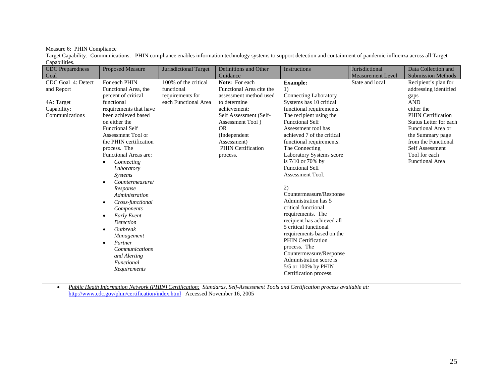Measure 6: PHIN Compliance

Target Capability: Communications. PHIN compliance enables information technology systems to support detection and containment of pandemic influenza across all Target Capabilities.

| <b>CDC</b> Preparedness<br>Goal                                                 | <b>Proposed Measure</b>                                                                                                                                                                                                                                                                                                                                                                                                                                                                                                                                                                                   | Jurisdictional Target                                                          | Definitions and Other<br>Guidance                                                                                                                                                                                                        | Instructions                                                                                                                                                                                                                                                                                                                                                                                                                                                                                                                                                                                                                                                                                                          | Jurisdictional<br><b>Measurement Level</b> | Data Collection and<br><b>Submission Methods</b>                                                                                                                                                                                                                        |
|---------------------------------------------------------------------------------|-----------------------------------------------------------------------------------------------------------------------------------------------------------------------------------------------------------------------------------------------------------------------------------------------------------------------------------------------------------------------------------------------------------------------------------------------------------------------------------------------------------------------------------------------------------------------------------------------------------|--------------------------------------------------------------------------------|------------------------------------------------------------------------------------------------------------------------------------------------------------------------------------------------------------------------------------------|-----------------------------------------------------------------------------------------------------------------------------------------------------------------------------------------------------------------------------------------------------------------------------------------------------------------------------------------------------------------------------------------------------------------------------------------------------------------------------------------------------------------------------------------------------------------------------------------------------------------------------------------------------------------------------------------------------------------------|--------------------------------------------|-------------------------------------------------------------------------------------------------------------------------------------------------------------------------------------------------------------------------------------------------------------------------|
| CDC Goal 4: Detect<br>and Report<br>4A: Target<br>Capability:<br>Communications | For each PHIN<br>Functional Area, the<br>percent of critical<br>functional<br>requirements that have<br>been achieved based<br>on either the<br><b>Functional Self</b><br>Assessment Tool or<br>the PHIN certification<br>process. The<br>Functional Areas are:<br>Connecting<br>Laboratory<br><b>Systems</b><br>Countermeasure/<br>$\bullet$<br>Response<br>Administration<br>Cross-functional<br>$\bullet$<br>Components<br>Early Event<br>$\bullet$<br>Detection<br>Outbreak<br>$\bullet$<br>Management<br>Partner<br>$\bullet$<br><b>Communications</b><br>and Alerting<br>Functional<br>Requirements | 100% of the critical<br>functional<br>requirements for<br>each Functional Area | Note: For each<br>Functional Area cite the<br>assessment method used<br>to determine<br>achievement:<br>Self Assessment (Self-<br>Assessment Tool)<br><b>OR</b><br>(Independent)<br>Assessment)<br><b>PHIN Certification</b><br>process. | <b>Example:</b><br>1)<br><b>Connecting Laboratory</b><br>Systems has 10 critical<br>functional requirements.<br>The recipient using the<br><b>Functional Self</b><br>Assessment tool has<br>achieved 7 of the critical<br>functional requirements.<br>The Connecting<br>Laboratory Systems score<br>is $7/10$ or $70\%$ by<br><b>Functional Self</b><br>Assessment Tool.<br>2)<br>Countermeasure/Response<br>Administration has 5<br>critical functional<br>requirements. The<br>recipient has achieved all<br>5 critical functional<br>requirements based on the<br><b>PHIN</b> Certification<br>process. The<br>Countermeasure/Response<br>Administration score is<br>5/5 or 100% by PHIN<br>Certification process. | State and local                            | Recipient's plan for<br>addressing identified<br>gaps<br><b>AND</b><br>either the<br><b>PHIN</b> Certification<br>Status Letter for each<br>Functional Area or<br>the Summary page<br>from the Functional<br>Self Assessment<br>Tool for each<br><b>Functional Area</b> |

• *Public Heath Information Network (PHIN) Certification: Standards, Self-Assessment Tools and Certification process available at:*  <http://www.cdc.gov/phin/certification/index.html> Accessed November 16, 2005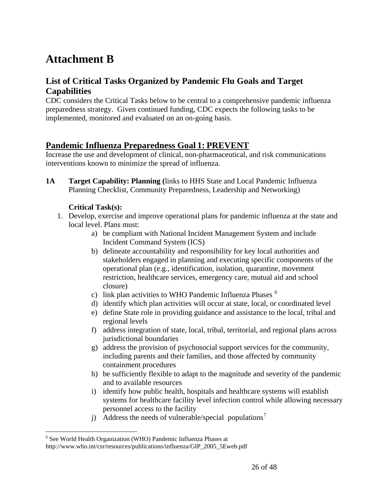# <span id="page-25-0"></span>**Attachment B**

## **List of Critical Tasks Organized by Pandemic Flu Goals and Target Capabilities**

CDC considers the Critical Tasks below to be central to a comprehensive pandemic influenza preparedness strategy. Given continued funding, CDC expects the following tasks to be implemented, monitored and evaluated on an on-going basis.

## **Pandemic Influenza Preparedness Goal 1: PREVENT**

Increase the use and development of clinical, non-pharmaceutical, and risk communications interventions known to minimize the spread of influenza.

**1A Target Capability: Planning (**links to HHS State and Local Pandemic Influenza Planning Checklist, Community Preparedness, Leadership and Networking)

### **Critical Task(s):**

- 1. Develop, exercise and improve operational plans for pandemic influenza at the state and local level. Plans must:
	- a) be compliant with National Incident Management System and include Incident Command System (ICS)
	- b) delineate accountability and responsibility for key local authorities and stakeholders engaged in planning and executing specific components of the operational plan (e.g., identification, isolation, quarantine, movement restriction, healthcare services, emergency care, mutual aid and school closure)
	- c) link plan activities to WHO Pandemic Influenza Phases [6](#page-25-0)
	- d) identify which plan activities will occur at state, local, or coordinated level
	- e) define State role in providing guidance and assistance to the local, tribal and regional levels
	- f) address integration of state, local, tribal, territorial, and regional plans across jurisdictional boundaries
	- g) address the provision of psychosocial support services for the community, including parents and their families, and those affected by community containment procedures
	- h) be sufficiently flexible to adapt to the magnitude and severity of the pandemic and to available resources
	- i) identify how public health, hospitals and healthcare systems will establish systems for healthcare facility level infection control while allowing necessary personnel access to the facility
	- j) Address the needs of vulnerable/special populations<sup>[7](#page-25-0)</sup>

 $\overline{a}$ 

<sup>&</sup>lt;sup>6</sup> See World Health Organization (WHO) Pandemic Influenza Phases at

http://www.who.int/csr/resources/publications/influenza/GIP\_2005\_5Eweb.pdf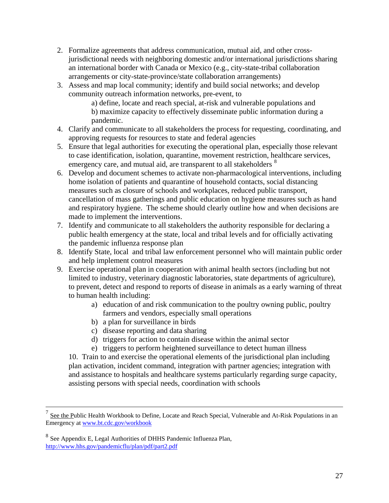- <span id="page-26-0"></span>2. Formalize agreements that address communication, mutual aid, and other crossjurisdictional needs with neighboring domestic and/or international jurisdictions sharing an international border with Canada or Mexico (e.g., city-state-tribal collaboration arrangements or city-state-province/state collaboration arrangements)
- 3. Assess and map local community; identify and build social networks; and develop community outreach information networks, pre-event, to

a) define, locate and reach special, at-risk and vulnerable populations and b) maximize capacity to effectively disseminate public information during a pandemic.

- 4. Clarify and communicate to all stakeholders the process for requesting, coordinating, and approving requests for resources to state and federal agencies
- 5. Ensure that legal authorities for executing the operational plan, especially those relevant to case identification, isolation, quarantine, movement restriction, healthcare services, emergency care, and mutual aid, are transparent to all stakeholders <sup>[8](#page-26-0)</sup>
- 6. Develop and document schemes to activate non-pharmacological interventions, including home isolation of patients and quarantine of household contacts, social distancing measures such as closure of schools and workplaces, reduced public transport, cancellation of mass gatherings and public education on hygiene measures such as hand and respiratory hygiene. The scheme should clearly outline how and when decisions are made to implement the interventions.
- 7. Identify and communicate to all stakeholders the authority responsible for declaring a public health emergency at the state, local and tribal levels and for officially activating the pandemic influenza response plan
- 8. Identify State, local and tribal law enforcement personnel who will maintain public order and help implement control measures
- 9. Exercise operational plan in cooperation with animal health sectors (including but not limited to industry, veterinary diagnostic laboratories, state departments of agriculture), to prevent, detect and respond to reports of disease in animals as a early warning of threat to human health including:
	- a) education of and risk communication to the poultry owning public, poultry farmers and vendors, especially small operations
	- b) a plan for surveillance in birds
	- c) disease reporting and data sharing
	- d) triggers for action to contain disease within the animal sector
	- e) triggers to perform heightened surveillance to detect human illness

10. Train to and exercise the operational elements of the jurisdictional plan including plan activation, incident command, integration with partner agencies; integration with and assistance to hospitals and healthcare systems particularly regarding surge capacity, assisting persons with special needs, coordination with schools

See the Public Health Workbook to Define, Locate and Reach Special, Vulnerable and At-Risk Populations in an Emergency at www.bt.cdc.gov/workbook

<sup>8</sup> See Appendix E, Legal Authorities of DHHS Pandemic Influenza Plan, <http://www.hhs.gov/pandemicflu/plan/pdf/part2.pdf>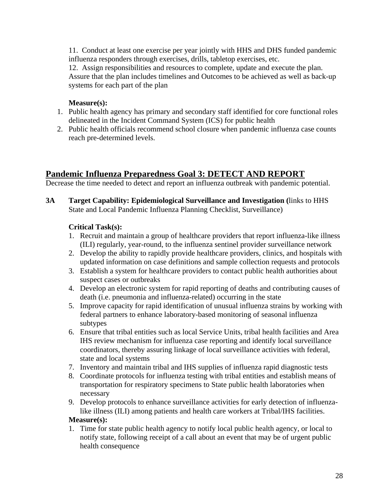11. Conduct at least one exercise per year jointly with HHS and DHS funded pandemic influenza responders through exercises, drills, tabletop exercises, etc.

12. Assign responsibilities and resources to complete, update and execute the plan. Assure that the plan includes timelines and Outcomes to be achieved as well as back-up systems for each part of the plan

## **Measure(s):**

- 1. Public health agency has primary and secondary staff identified for core functional roles delineated in the Incident Command System (ICS) for public health
- 2. Public health officials recommend school closure when pandemic influenza case counts reach pre-determined levels.

# **Pandemic Influenza Preparedness Goal 3: DETECT AND REPORT**

Decrease the time needed to detect and report an influenza outbreak with pandemic potential.

**3A Target Capability: Epidemiological Surveillance and Investigation (**links to HHS State and Local Pandemic Influenza Planning Checklist, Surveillance)

#### **Critical Task(s):**

- 1. Recruit and maintain a group of healthcare providers that report influenza-like illness (ILI) regularly, year-round, to the influenza sentinel provider surveillance network
- 2. Develop the ability to rapidly provide healthcare providers, clinics, and hospitals with updated information on case definitions and sample collection requests and protocols
- 3. Establish a system for healthcare providers to contact public health authorities about suspect cases or outbreaks
- 4. Develop an electronic system for rapid reporting of deaths and contributing causes of death (i.e. pneumonia and influenza-related) occurring in the state
- 5. Improve capacity for rapid identification of unusual influenza strains by working with federal partners to enhance laboratory-based monitoring of seasonal influenza subtypes
- 6. Ensure that tribal entities such as local Service Units, tribal health facilities and Area IHS review mechanism for influenza case reporting and identify local surveillance coordinators, thereby assuring linkage of local surveillance activities with federal, state and local systems
- 7. Inventory and maintain tribal and IHS supplies of influenza rapid diagnostic tests
- 8. Coordinate protocols for influenza testing with tribal entities and establish means of transportation for respiratory specimens to State public health laboratories when necessary
- 9. Develop protocols to enhance surveillance activities for early detection of influenzalike illness (ILI) among patients and health care workers at Tribal/IHS facilities.

#### **Measure(s):**

1. Time for state public health agency to notify local public health agency, or local to notify state, following receipt of a call about an event that may be of urgent public health consequence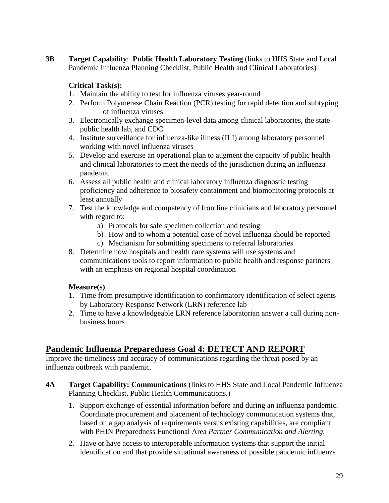**3B Target Capability**: **Public Health Laboratory Testing** (links to HHS State and Local Pandemic Influenza Planning Checklist, Public Health and Clinical Laboratories)

### **Critical Task(s):**

- 1. Maintain the ability to test for influenza viruses year-round
- 2. Perform Polymerase Chain Reaction (PCR) testing for rapid detection and subtyping of influenza viruses
- 3. Electronically exchange specimen-level data among clinical laboratories, the state public health lab, and CDC
- 4. Institute surveillance for influenza-like illness (ILI) among laboratory personnel working with novel influenza viruses
- 5. Develop and exercise an operational plan to augment the capacity of public health and clinical laboratories to meet the needs of the jurisdiction during an influenza pandemic
- 6. Assess all public health and clinical laboratory influenza diagnostic testing proficiency and adherence to biosafety containment and biomonitoring protocols at least annually
- 7. Test the knowledge and competency of frontline clinicians and laboratory personnel with regard to:
	- a) Protocols for safe specimen collection and testing
	- b) How and to whom a potential case of novel influenza should be reported
	- c) Mechanism for submitting specimens to referral laboratories
- 8. Determine how hospitals and health care systems will use systems and communications tools to report information to public health and response partners with an emphasis on regional hospital coordination

#### **Measure(s)**

- 1. Time from presumptive identification to confirmatory identification of select agents by Laboratory Response Network (LRN) reference lab
- 2. Time to have a knowledgeable LRN reference laboratorian answer a call during nonbusiness hours

## **Pandemic Influenza Preparedness Goal 4: DETECT AND REPORT**

Improve the timeliness and accuracy of communications regarding the threat posed by an influenza outbreak with pandemic.

- **4A Target Capability: Communications** (links to HHS State and Local Pandemic Influenza Planning Checklist, Public Health Communications.)
	- 1. Support exchange of essential information before and during an influenza pandemic. Coordinate procurement and placement of technology communication systems that, based on a gap analysis of requirements versus existing capabilities, are compliant with PHIN Preparedness Functional Area *Partner Communication and Alerting*.
	- 2. Have or have access to interoperable information systems that support the initial identification and that provide situational awareness of possible pandemic influenza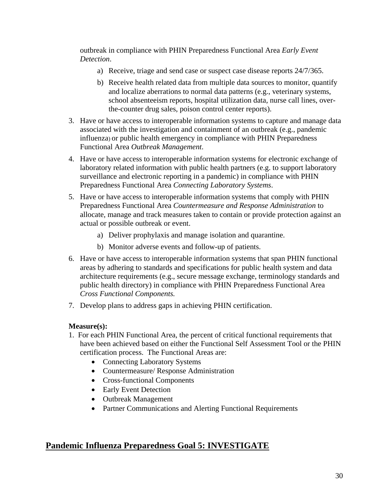outbreak in compliance with PHIN Preparedness Functional Area *Early Event Detection*.

- a) Receive, triage and send case or suspect case disease reports 24/7/365.
- b) Receive health related data from multiple data sources to monitor, quantify and localize aberrations to normal data patterns (e.g., veterinary systems, school absenteeism reports, hospital utilization data, nurse call lines, overthe-counter drug sales, poison control center reports).
- 3. Have or have access to interoperable information systems to capture and manage data associated with the investigation and containment of an outbreak (e.g., pandemic influenza) or public health emergency in compliance with PHIN Preparedness Functional Area *Outbreak Management*.
- 4. Have or have access to interoperable information systems for electronic exchange of laboratory related information with public health partners (e.g. to support laboratory surveillance and electronic reporting in a pandemic) in compliance with PHIN Preparedness Functional Area *Connecting Laboratory Systems*.
- 5. Have or have access to interoperable information systems that comply with PHIN Preparedness Functional Area *Countermeasure and Response Administration* to allocate, manage and track measures taken to contain or provide protection against an actual or possible outbreak or event.
	- a) Deliver prophylaxis and manage isolation and quarantine.
	- b) Monitor adverse events and follow-up of patients.
- 6. Have or have access to interoperable information systems that span PHIN functional areas by adhering to standards and specifications for public health system and data architecture requirements (e.g., secure message exchange, terminology standards and public health directory) in compliance with PHIN Preparedness Functional Area *Cross Functional Components.*
- 7. Develop plans to address gaps in achieving PHIN certification.

#### **Measure(s):**

- 1. For each PHIN Functional Area, the percent of critical functional requirements that have been achieved based on either the Functional Self Assessment Tool or the PHIN certification process. The Functional Areas are:
	- Connecting Laboratory Systems
	- Countermeasure/ Response Administration
	- Cross-functional Components
	- Early Event Detection
	- Outbreak Management
	- Partner Communications and Alerting Functional Requirements

## **Pandemic Influenza Preparedness Goal 5: INVESTIGATE**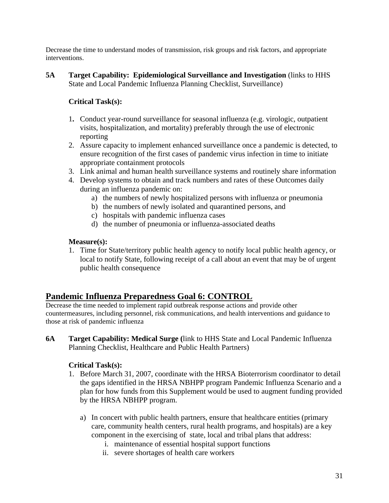Decrease the time to understand modes of transmission, risk groups and risk factors, and appropriate interventions.

**5A Target Capability: Epidemiological Surveillance and Investigation** (links to HHS State and Local Pandemic Influenza Planning Checklist, Surveillance)

## **Critical Task(s):**

- 1**.** Conduct year-round surveillance for seasonal influenza (e.g. virologic, outpatient visits, hospitalization, and mortality) preferably through the use of electronic reporting
- 2. Assure capacity to implement enhanced surveillance once a pandemic is detected, to ensure recognition of the first cases of pandemic virus infection in time to initiate appropriate containment protocols
- 3. Link animal and human health surveillance systems and routinely share information
- 4. Develop systems to obtain and track numbers and rates of these Outcomes daily during an influenza pandemic on:
	- a) the numbers of newly hospitalized persons with influenza or pneumonia
	- b) the numbers of newly isolated and quarantined persons, and
	- c) hospitals with pandemic influenza cases
	- d) the number of pneumonia or influenza-associated deaths

#### **Measure(s):**

1. Time for State/territory public health agency to notify local public health agency, or local to notify State, following receipt of a call about an event that may be of urgent public health consequence

## **Pandemic Influenza Preparedness Goal 6: CONTROL**

Decrease the time needed to implement rapid outbreak response actions and provide other countermeasures, including personnel, risk communications, and health interventions and guidance to those at risk of pandemic influenza

**6A Target Capability: Medical Surge (**link to HHS State and Local Pandemic Influenza Planning Checklist, Healthcare and Public Health Partners)

#### **Critical Task(s):**

- 1. Before March 31, 2007, coordinate with the HRSA Bioterrorism coordinator to detail the gaps identified in the HRSA NBHPP program Pandemic Influenza Scenario and a plan for how funds from this Supplement would be used to augment funding provided by the HRSA NBHPP program.
	- a) In concert with public health partners, ensure that healthcare entities (primary care, community health centers, rural health programs, and hospitals) are a key component in the exercising of state, local and tribal plans that address:
		- i. maintenance of essential hospital support functions
		- ii. severe shortages of health care workers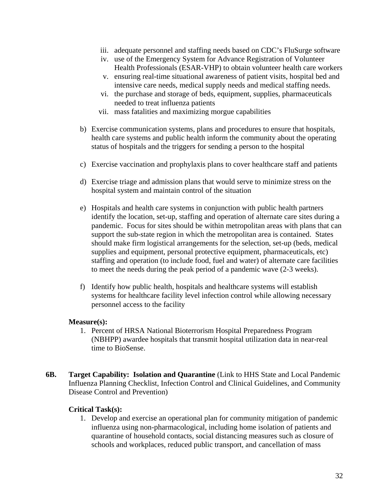- iii. adequate personnel and staffing needs based on CDC's FluSurge software
- iv. use of the Emergency System for Advance Registration of Volunteer Health Professionals (ESAR-VHP) to obtain volunteer health care workers
- v. ensuring real-time situational awareness of patient visits, hospital bed and intensive care needs, medical supply needs and medical staffing needs.
- vi. the purchase and storage of beds, equipment, supplies, pharmaceuticals needed to treat influenza patients
- vii. mass fatalities and maximizing morgue capabilities
- b) Exercise communication systems, plans and procedures to ensure that hospitals, health care systems and public health inform the community about the operating status of hospitals and the triggers for sending a person to the hospital
- c) Exercise vaccination and prophylaxis plans to cover healthcare staff and patients
- d) Exercise triage and admission plans that would serve to minimize stress on the hospital system and maintain control of the situation
- e) Hospitals and health care systems in conjunction with public health partners identify the location, set-up, staffing and operation of alternate care sites during a pandemic. Focus for sites should be within metropolitan areas with plans that can support the sub-state region in which the metropolitan area is contained. States should make firm logistical arrangements for the selection, set-up (beds, medical supplies and equipment, personal protective equipment, pharmaceuticals, etc) staffing and operation (to include food, fuel and water) of alternate care facilities to meet the needs during the peak period of a pandemic wave (2-3 weeks).
- f) Identify how public health, hospitals and healthcare systems will establish systems for healthcare facility level infection control while allowing necessary personnel access to the facility

#### **Measure(s):**

- 1. Percent of HRSA National Bioterrorism Hospital Preparedness Program (NBHPP) awardee hospitals that transmit hospital utilization data in near-real time to BioSense.
- **6B. Target Capability: Isolation and Quarantine** (Link to HHS State and Local Pandemic Influenza Planning Checklist, Infection Control and Clinical Guidelines, and Community Disease Control and Prevention)

#### **Critical Task(s):**

1. Develop and exercise an operational plan for community mitigation of pandemic influenza using non-pharmacological, including home isolation of patients and quarantine of household contacts, social distancing measures such as closure of schools and workplaces, reduced public transport, and cancellation of mass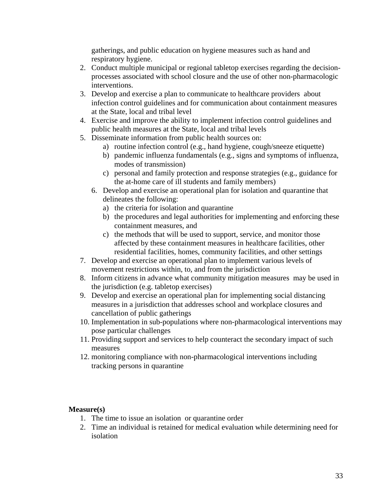gatherings, and public education on hygiene measures such as hand and respiratory hygiene.

- 2. Conduct multiple municipal or regional tabletop exercises regarding the decisionprocesses associated with school closure and the use of other non-pharmacologic interventions.
- 3. Develop and exercise a plan to communicate to healthcare providers about infection control guidelines and for communication about containment measures at the State, local and tribal level
- 4. Exercise and improve the ability to implement infection control guidelines and public health measures at the State, local and tribal levels
- 5. Disseminate information from public health sources on:
	- a) routine infection control (e.g., hand hygiene, cough/sneeze etiquette)
	- b) pandemic influenza fundamentals (e.g., signs and symptoms of influenza, modes of transmission)
	- c) personal and family protection and response strategies (e.g., guidance for the at-home care of ill students and family members)
	- 6. Develop and exercise an operational plan for isolation and quarantine that delineates the following:
		- a) the criteria for isolation and quarantine
		- b) the procedures and legal authorities for implementing and enforcing these containment measures, and
		- c) the methods that will be used to support, service, and monitor those affected by these containment measures in healthcare facilities, other residential facilities, homes, community facilities, and other settings
- 7. Develop and exercise an operational plan to implement various levels of movement restrictions within, to, and from the jurisdiction
- 8. Inform citizens in advance what community mitigation measures may be used in the jurisdiction (e.g. tabletop exercises)
- 9. Develop and exercise an operational plan for implementing social distancing measures in a jurisdiction that addresses school and workplace closures and cancellation of public gatherings
- 10. Implementation in sub-populations where non-pharmacological interventions may pose particular challenges
- 11. Providing support and services to help counteract the secondary impact of such measures
- 12. monitoring compliance with non-pharmacological interventions including tracking persons in quarantine

#### **Measure(s)**

- 1. The time to issue an isolation or quarantine order
- 2. Time an individual is retained for medical evaluation while determining need for isolation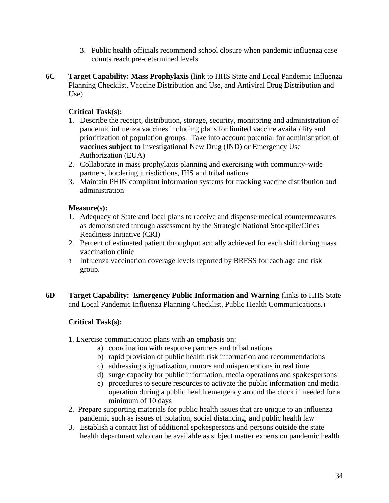- 3. Public health officials recommend school closure when pandemic influenza case counts reach pre-determined levels.
- **6C Target Capability: Mass Prophylaxis (**link to HHS State and Local Pandemic Influenza Planning Checklist, Vaccine Distribution and Use, and Antiviral Drug Distribution and Use)

### **Critical Task(s):**

- 1. Describe the receipt, distribution, storage, security, monitoring and administration of pandemic influenza vaccines including plans for limited vaccine availability and prioritization of population groups. Take into account potential for administration of **vaccines subject to** Investigational New Drug (IND) or Emergency Use Authorization (EUA)
- 2. Collaborate in mass prophylaxis planning and exercising with community-wide partners, bordering jurisdictions, IHS and tribal nations
- 3. Maintain PHIN compliant information systems for tracking vaccine distribution and administration

#### **Measure(s):**

- 1. Adequacy of State and local plans to receive and dispense medical countermeasures as demonstrated through assessment by the Strategic National Stockpile/Cities Readiness Initiative (CRI)
- 2. Percent of estimated patient throughput actually achieved for each shift during mass vaccination clinic
- 3. Influenza vaccination coverage levels reported by BRFSS for each age and risk group.
- **6D Target Capability: Emergency Public Information and Warning** (links to HHS State and Local Pandemic Influenza Planning Checklist, Public Health Communications.)

## **Critical Task(s):**

- 1. Exercise communication plans with an emphasis on:
	- a) coordination with response partners and tribal nations
	- b) rapid provision of public health risk information and recommendations
	- c) addressing stigmatization, rumors and misperceptions in real time
	- d) surge capacity for public information, media operations and spokespersons
	- e) procedures to secure resources to activate the public information and media operation during a public health emergency around the clock if needed for a minimum of 10 days
- 2. Prepare supporting materials for public health issues that are unique to an influenza pandemic such as issues of isolation, social distancing, and public health law
- 3. Establish a contact list of additional spokespersons and persons outside the state health department who can be available as subject matter experts on pandemic health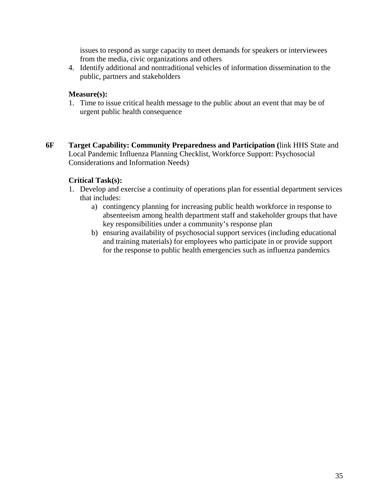issues to respond as surge capacity to meet demands for speakers or interviewees from the media, civic organizations and others

4. Identify additional and nontraditional vehicles of information dissemination to the public, partners and stakeholders

#### **Measure(s):**

- 1. Time to issue critical health message to the public about an event that may be of urgent public health consequence
- **6F Target Capability: Community Preparedness and Participation (**link HHS State and Local Pandemic Influenza Planning Checklist, Workforce Support: Psychosocial Considerations and Information Needs)

#### **Critical Task(s):**

- 1. Develop and exercise a continuity of operations plan for essential department services that includes:
	- a) contingency planning for increasing public health workforce in response to absenteeism among health department staff and stakeholder groups that have key responsibilities under a community's response plan
	- b) ensuring availability of psychosocial support services (including educational and training materials) for employees who participate in or provide support for the response to public health emergencies such as influenza pandemics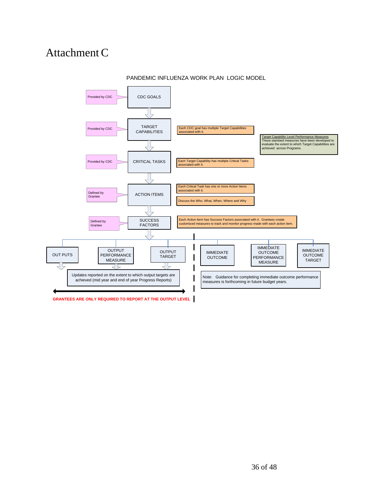# AttachmentC



#### PANDEMIC INFLUENZA WORK PLAN LOGIC MODEL

**GRANTEES ARE ONLY REQUIRED TO REPORT AT THE OUTPUT LEVEL**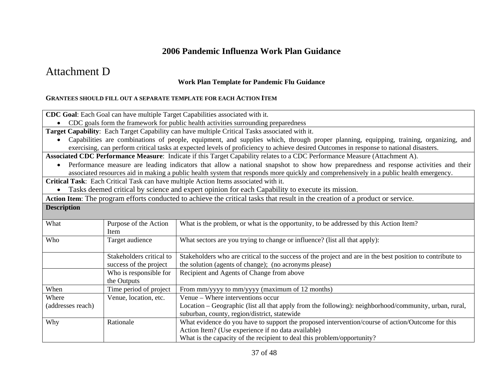# **2006 Pandemic Influenza Work Plan Guidance**

# Attachment D

#### **Work Plan Template for Pandemic Flu Guidance**

#### **GRANTEES SHOULD FILL OUT A SEPARATE TEMPLATE FOR EACH ACTION ITEM**

**CDC Goal**: Each Goal can have multiple Target Capabilities associated with it.

• CDC goals form the framework for public health activities surrounding preparedness

**Target Capability**: Each Target Capability can have multiple Critical Tasks associated with it.

• Capabilities are combinations of people, equipment, and supplies which, through proper planning, equipping, training, organizing, and exercising, can perform critical tasks at expected levels of proficiency to achieve desired Outcomes in response to national disasters.

**Associated CDC Performance Measure**: Indicate if this Target Capability relates to a CDC Performance Measure (Attachment A).

• Performance measure are leading indicators that allow a national snapshot to show how preparedness and response activities and their associated resources aid in making a public health system that responds more quickly and comprehensively in a public health emergency.

**Critical Task**: Each Critical Task can have multiple Action Items associated with it.

• Tasks deemed critical by science and expert opinion for each Capability to execute its mission.

**Action Item**: The program efforts conducted to achieve the critical tasks that result in the creation of a product or service.

**Description** 

| What              | Purpose of the Action    | What is the problem, or what is the opportunity, to be addressed by this Action Item?                     |
|-------------------|--------------------------|-----------------------------------------------------------------------------------------------------------|
|                   | Item                     |                                                                                                           |
| Who               | Target audience          | What sectors are you trying to change or influence? (list all that apply):                                |
|                   |                          |                                                                                                           |
|                   | Stakeholders critical to | Stakeholders who are critical to the success of the project and are in the best position to contribute to |
|                   | success of the project   | the solution (agents of change); (no acronyms please)                                                     |
|                   | Who is responsible for   | Recipient and Agents of Change from above                                                                 |
|                   | the Outputs              |                                                                                                           |
| When              | Time period of project   | From mm/yyyy to mm/yyyy (maximum of 12 months)                                                            |
| Where             | Venue, location, etc.    | Venue – Where interventions occur                                                                         |
| (addresses reach) |                          | Location - Geographic (list all that apply from the following): neighborhood/community, urban, rural,     |
|                   |                          | suburban, county, region/district, statewide                                                              |
| Why               | Rationale                | What evidence do you have to support the proposed intervention/course of action/Outcome for this          |
|                   |                          | Action Item? (Use experience if no data available)                                                        |
|                   |                          | What is the capacity of the recipient to deal this problem/opportunity?                                   |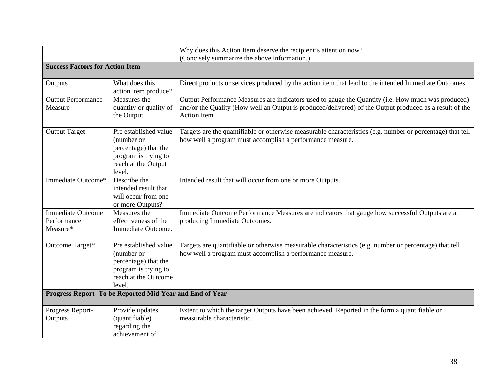|                                                     |                                                                                                                       | Why does this Action Item deserve the recipient's attention now?                                                                                                                                                              |
|-----------------------------------------------------|-----------------------------------------------------------------------------------------------------------------------|-------------------------------------------------------------------------------------------------------------------------------------------------------------------------------------------------------------------------------|
|                                                     |                                                                                                                       | (Concisely summarize the above information.)                                                                                                                                                                                  |
| <b>Success Factors for Action Item</b>              |                                                                                                                       |                                                                                                                                                                                                                               |
| Outputs                                             | What does this<br>action item produce?                                                                                | Direct products or services produced by the action item that lead to the intended Immediate Outcomes.                                                                                                                         |
| <b>Output Performance</b><br>Measure                | Measures the<br>quantity or quality of<br>the Output.                                                                 | Output Performance Measures are indicators used to gauge the Quantity (i.e. How much was produced)<br>and/or the Quality (How well an Output is produced/delivered) of the Output produced as a result of the<br>Action Item. |
| <b>Output Target</b>                                | Pre established value<br>(number or<br>percentage) that the<br>program is trying to<br>reach at the Output<br>level.  | Targets are the quantifiable or otherwise measurable characteristics (e.g. number or percentage) that tell<br>how well a program must accomplish a performance measure.                                                       |
| Immediate Outcome*                                  | Describe the<br>intended result that<br>will occur from one<br>or more Outputs?                                       | Intended result that will occur from one or more Outputs.                                                                                                                                                                     |
| <b>Immediate Outcome</b><br>Performance<br>Measure* | Measures the<br>effectiveness of the<br>Immediate Outcome.                                                            | Immediate Outcome Performance Measures are indicators that gauge how successful Outputs are at<br>producing Immediate Outcomes.                                                                                               |
| Outcome Target*                                     | Pre established value<br>(number or<br>percentage) that the<br>program is trying to<br>reach at the Outcome<br>level. | Targets are quantifiable or otherwise measurable characteristics (e.g. number or percentage) that tell<br>how well a program must accomplish a performance measure.                                                           |
|                                                     | Progress Report- To be Reported Mid Year and End of Year                                                              |                                                                                                                                                                                                                               |
| Progress Report-<br>Outputs                         | Provide updates<br>(quantifiable)<br>regarding the<br>achievement of                                                  | Extent to which the target Outputs have been achieved. Reported in the form a quantifiable or<br>measurable characteristic.                                                                                                   |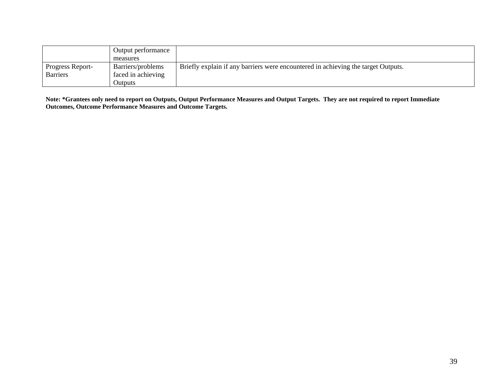|                  | Output performance |                                                                                   |
|------------------|--------------------|-----------------------------------------------------------------------------------|
|                  | measures           |                                                                                   |
| Progress Report- | Barriers/problems  | Briefly explain if any barriers were encountered in achieving the target Outputs. |
| <b>Barriers</b>  | faced in achieving |                                                                                   |
|                  | Outputs            |                                                                                   |

**Note: \*Grantees only need to report on Outputs, Output Performance Measures and Output Targets. They are not required to report Immediate Outcomes, Outcome Performance Measures and Outcome Targets.**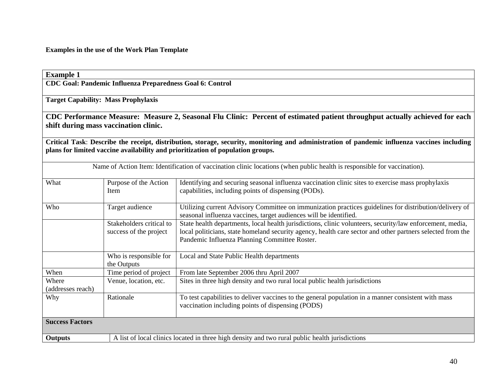**Examples in the use of the Work Plan Template** 

| <b>Example 1</b>           |                                                           |                                                                                                                                                                                                                                                                          |
|----------------------------|-----------------------------------------------------------|--------------------------------------------------------------------------------------------------------------------------------------------------------------------------------------------------------------------------------------------------------------------------|
|                            | CDC Goal: Pandemic Influenza Preparedness Goal 6: Control |                                                                                                                                                                                                                                                                          |
|                            | <b>Target Capability: Mass Prophylaxis</b>                |                                                                                                                                                                                                                                                                          |
|                            | shift during mass vaccination clinic.                     | CDC Performance Measure: Measure 2, Seasonal Flu Clinic: Percent of estimated patient throughput actually achieved for each                                                                                                                                              |
|                            |                                                           | Critical Task: Describe the receipt, distribution, storage, security, monitoring and administration of pandemic influenza vaccines including<br>plans for limited vaccine availability and prioritization of population groups.                                          |
|                            |                                                           | Name of Action Item: Identification of vaccination clinic locations (when public health is responsible for vaccination).                                                                                                                                                 |
| What                       | Purpose of the Action<br><b>Item</b>                      | Identifying and securing seasonal influenza vaccination clinic sites to exercise mass prophylaxis<br>capabilities, including points of dispensing (PODs).                                                                                                                |
| Who                        | Target audience                                           | Utilizing current Advisory Committee on immunization practices guidelines for distribution/delivery of<br>seasonal influenza vaccines, target audiences will be identified.                                                                                              |
|                            | Stakeholders critical to<br>success of the project        | State health departments, local health jurisdictions, clinic volunteers, security/law enforcement, media,<br>local politicians, state homeland security agency, health care sector and other partners selected from the<br>Pandemic Influenza Planning Committee Roster. |
|                            | Who is responsible for<br>the Outputs                     | Local and State Public Health departments                                                                                                                                                                                                                                |
| When                       | Time period of project                                    | From late September 2006 thru April 2007                                                                                                                                                                                                                                 |
| Where<br>(addresses reach) | Venue, location, etc.                                     | Sites in three high density and two rural local public health jurisdictions                                                                                                                                                                                              |
| Why                        | Rationale                                                 | To test capabilities to deliver vaccines to the general population in a manner consistent with mass<br>vaccination including points of dispensing (PODS)                                                                                                                 |
| <b>Success Factors</b>     |                                                           |                                                                                                                                                                                                                                                                          |
| <b>Outputs</b>             |                                                           | A list of local clinics located in three high density and two rural public health jurisdictions                                                                                                                                                                          |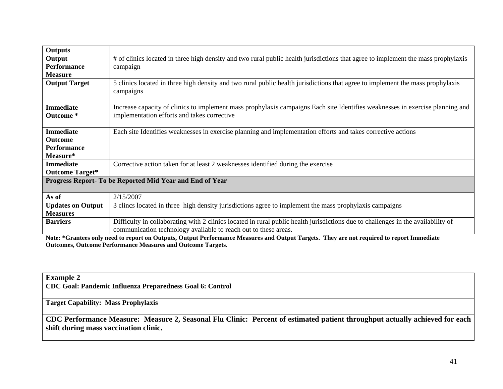| # of clinics located in three high density and two rural public health jurisdictions that agree to implement the mass prophylaxis                             |  |  |
|---------------------------------------------------------------------------------------------------------------------------------------------------------------|--|--|
| campaign                                                                                                                                                      |  |  |
|                                                                                                                                                               |  |  |
| 5 clinics located in three high density and two rural public health jurisdictions that agree to implement the mass prophylaxis<br>campaigns                   |  |  |
| Increase capacity of clinics to implement mass prophylaxis campaigns Each site Identifies weaknesses in exercise planning and                                 |  |  |
| implementation efforts and takes corrective                                                                                                                   |  |  |
| Each site Identifies weaknesses in exercise planning and implementation efforts and takes corrective actions                                                  |  |  |
|                                                                                                                                                               |  |  |
|                                                                                                                                                               |  |  |
|                                                                                                                                                               |  |  |
| Corrective action taken for at least 2 weaknesses identified during the exercise                                                                              |  |  |
|                                                                                                                                                               |  |  |
| Progress Report- To be Reported Mid Year and End of Year                                                                                                      |  |  |
| 2/15/2007                                                                                                                                                     |  |  |
| 3 clincs located in three high density jurisdictions agree to implement the mass prophylaxis campaigns                                                        |  |  |
|                                                                                                                                                               |  |  |
| Difficulty in collaborating with 2 clinics located in rural public health jurisdictions due to challenges in the availability of                              |  |  |
| communication technology available to reach out to these areas.                                                                                               |  |  |
| $\mathbf{M}$ and a set of $\mathbf{M}$ and $\mathbf{M}$ and $\mathbf{M}$ and $\mathbf{M}$ and $\mathbf{M}$ and $\mathbf{M}$ and $\mathbf{M}$ and $\mathbf{M}$ |  |  |

**Note: \*Grantees only need to report on Outputs, Output Performance Measures and Output Targets. They are not required to report Immediate Outcomes, Outcome Performance Measures and Outcome Targets.** 

| <b>Example 2</b>                                                                                                            |
|-----------------------------------------------------------------------------------------------------------------------------|
| CDC Goal: Pandemic Influenza Preparedness Goal 6: Control                                                                   |
|                                                                                                                             |
| <b>Target Capability: Mass Prophylaxis</b>                                                                                  |
|                                                                                                                             |
| CDC Performance Measure: Measure 2, Seasonal Flu Clinic: Percent of estimated patient throughput actually achieved for each |
| shift during mass vaccination clinic.                                                                                       |

the control of the control of the control of the control of the control of the control of the control of the control of the control of the control of the control of the control of the control of the control of the control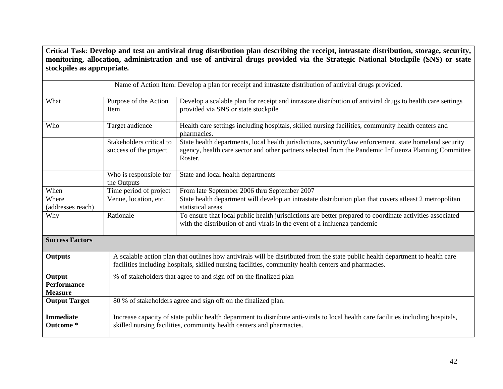**Critical Task**: **Develop and test an antiviral drug distribution plan describing the receipt, intrastate distribution, storage, security, monitoring, allocation, administration and use of antiviral drugs provided via the Strategic National Stockpile (SNS) or state stockpiles as appropriate.**

|                                                |                                                                                                                                                                                                                                        | Name of Action Item: Develop a plan for receipt and intrastate distribution of antiviral drugs provided.                                                                                                                    |  |
|------------------------------------------------|----------------------------------------------------------------------------------------------------------------------------------------------------------------------------------------------------------------------------------------|-----------------------------------------------------------------------------------------------------------------------------------------------------------------------------------------------------------------------------|--|
| What                                           | Purpose of the Action<br>Item                                                                                                                                                                                                          | Develop a scalable plan for receipt and intrastate distribution of antiviral drugs to health care settings<br>provided via SNS or state stockpile                                                                           |  |
| Who                                            | Target audience                                                                                                                                                                                                                        | Health care settings including hospitals, skilled nursing facilities, community health centers and<br>pharmacies.                                                                                                           |  |
|                                                | Stakeholders critical to<br>success of the project                                                                                                                                                                                     | State health departments, local health jurisdictions, security/law enforcement, state homeland security<br>agency, health care sector and other partners selected from the Pandemic Influenza Planning Committee<br>Roster. |  |
|                                                | Who is responsible for<br>the Outputs                                                                                                                                                                                                  | State and local health departments                                                                                                                                                                                          |  |
| When                                           | Time period of project                                                                                                                                                                                                                 | From late September 2006 thru September 2007                                                                                                                                                                                |  |
| Where<br>(addresses reach)                     | Venue, location, etc.                                                                                                                                                                                                                  | State health department will develop an intrastate distribution plan that covers atleast 2 metropolitan<br>statistical areas                                                                                                |  |
| Why                                            | Rationale                                                                                                                                                                                                                              | To ensure that local public health jurisdictions are better prepared to coordinate activities associated<br>with the distribution of anti-virals in the event of a influenza pandemic                                       |  |
| <b>Success Factors</b>                         |                                                                                                                                                                                                                                        |                                                                                                                                                                                                                             |  |
| <b>Outputs</b>                                 | A scalable action plan that outlines how antivirals will be distributed from the state public health department to health care<br>facilities including hospitals, skilled nursing facilities, community health centers and pharmacies. |                                                                                                                                                                                                                             |  |
| Output<br><b>Performance</b><br><b>Measure</b> |                                                                                                                                                                                                                                        | % of stakeholders that agree to and sign off on the finalized plan                                                                                                                                                          |  |
| <b>Output Target</b>                           |                                                                                                                                                                                                                                        | 80 % of stakeholders agree and sign off on the finalized plan.                                                                                                                                                              |  |
| <b>Immediate</b><br>Outcome *                  | Increase capacity of state public health department to distribute anti-virals to local health care facilities including hospitals,<br>skilled nursing facilities, community health centers and pharmacies.                             |                                                                                                                                                                                                                             |  |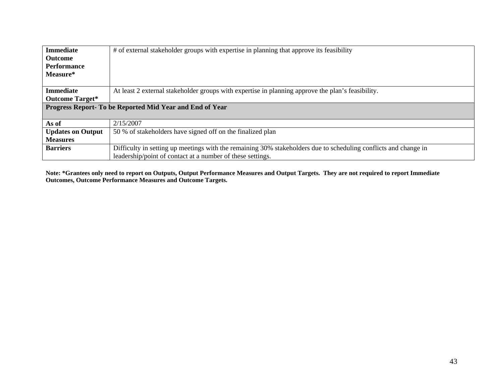| <b>Immediate</b>         | # of external stakeholder groups with expertise in planning that approve its feasibility                        |
|--------------------------|-----------------------------------------------------------------------------------------------------------------|
| <b>Outcome</b>           |                                                                                                                 |
| <b>Performance</b>       |                                                                                                                 |
| Measure*                 |                                                                                                                 |
|                          |                                                                                                                 |
| <b>Immediate</b>         | At least 2 external stakeholder groups with expertise in planning approve the plan's feasibility.               |
| <b>Outcome Target*</b>   |                                                                                                                 |
|                          | Progress Report- To be Reported Mid Year and End of Year                                                        |
|                          |                                                                                                                 |
| As of                    | 2/15/2007                                                                                                       |
| <b>Updates on Output</b> | 50 % of stakeholders have signed off on the finalized plan                                                      |
| <b>Measures</b>          |                                                                                                                 |
| <b>Barriers</b>          | Difficulty in setting up meetings with the remaining 30% stakeholders due to scheduling conflicts and change in |
|                          | leadership/point of contact at a number of these settings.                                                      |

**Note: \*Grantees only need to report on Outputs, Output Performance Measures and Output Targets. They are not required to report Immediate Outcomes, Outcome Performance Measures and Outcome Targets.**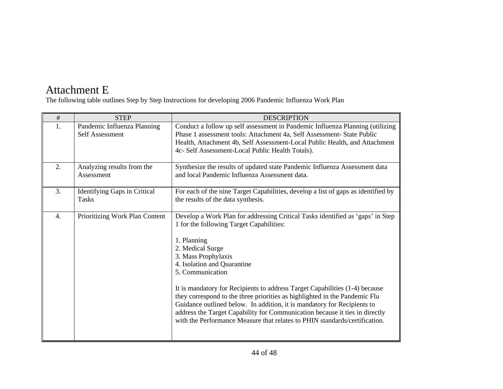# Attachment E

The following table outlines Step by Step Instructions for developing 2006 Pandemic Influenza Work Plan

| #  | <b>STEP</b>                                    | <b>DESCRIPTION</b>                                                                                                                                                                                                                                                                                                                                                                                                                                                                                                                                                                                                                           |
|----|------------------------------------------------|----------------------------------------------------------------------------------------------------------------------------------------------------------------------------------------------------------------------------------------------------------------------------------------------------------------------------------------------------------------------------------------------------------------------------------------------------------------------------------------------------------------------------------------------------------------------------------------------------------------------------------------------|
| 1. | Pandemic Influenza Planning<br>Self Assessment | Conduct a follow up self assessment in Pandemic Influenza Planning (utilizing<br>Phase 1 assessment tools: Attachment 4a, Self Assessment- State Public<br>Health, Attachment 4b, Self Assessment-Local Public Health, and Attachment<br>4c- Self Assessment-Local Public Health Totals).                                                                                                                                                                                                                                                                                                                                                    |
| 2. | Analyzing results from the<br>Assessment       | Synthesize the results of updated state Pandemic Influenza Assessment data<br>and local Pandemic Influenza Assessment data.                                                                                                                                                                                                                                                                                                                                                                                                                                                                                                                  |
| 3. | Identifying Gaps in Critical<br><b>Tasks</b>   | For each of the nine Target Capabilities, develop a list of gaps as identified by<br>the results of the data synthesis.                                                                                                                                                                                                                                                                                                                                                                                                                                                                                                                      |
| 4. | Prioritizing Work Plan Content                 | Develop a Work Plan for addressing Critical Tasks identified as 'gaps' in Step<br>1 for the following Target Capabilities:<br>1. Planning<br>2. Medical Surge<br>3. Mass Prophylaxis<br>4. Isolation and Quarantine<br>5. Communication<br>It is mandatory for Recipients to address Target Capabilities (1-4) because<br>they correspond to the three priorities as highlighted in the Pandemic Flu<br>Guidance outlined below. In addition, it is mandatory for Recipients to<br>address the Target Capability for Communication because it ties in directly<br>with the Performance Measure that relates to PHIN standards/certification. |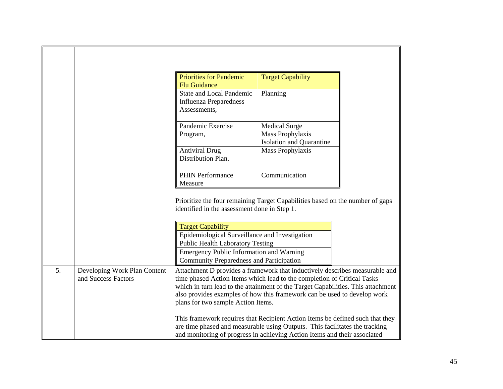|    |                                                     | <b>Priorities for Pandemic</b><br><b>Flu Guidance</b>                                                                                                                                                                                                                                                                                                        | <b>Target Capability</b>                                                    |  |
|----|-----------------------------------------------------|--------------------------------------------------------------------------------------------------------------------------------------------------------------------------------------------------------------------------------------------------------------------------------------------------------------------------------------------------------------|-----------------------------------------------------------------------------|--|
|    |                                                     | <b>State and Local Pandemic</b><br><b>Influenza Preparedness</b><br>Assessments,                                                                                                                                                                                                                                                                             | Planning                                                                    |  |
|    |                                                     | Pandemic Exercise<br>Program,                                                                                                                                                                                                                                                                                                                                | <b>Medical Surge</b><br>Mass Prophylaxis<br><b>Isolation and Quarantine</b> |  |
|    |                                                     | <b>Antiviral Drug</b><br>Distribution Plan.                                                                                                                                                                                                                                                                                                                  | Mass Prophylaxis                                                            |  |
|    |                                                     | <b>PHIN Performance</b><br>Measure                                                                                                                                                                                                                                                                                                                           | Communication                                                               |  |
|    |                                                     | Prioritize the four remaining Target Capabilities based on the number of gaps<br>identified in the assessment done in Step 1.                                                                                                                                                                                                                                |                                                                             |  |
|    |                                                     | <b>Target Capability</b><br>Epidemiological Surveillance and Investigation<br><b>Public Health Laboratory Testing</b>                                                                                                                                                                                                                                        |                                                                             |  |
|    |                                                     | <b>Emergency Public Information and Warning</b><br><b>Community Preparedness and Participation</b>                                                                                                                                                                                                                                                           |                                                                             |  |
| 5. | Developing Work Plan Content<br>and Success Factors | Attachment D provides a framework that inductively describes measurable and<br>time phased Action Items which lead to the completion of Critical Tasks<br>which in turn lead to the attainment of the Target Capabilities. This attachment<br>also provides examples of how this framework can be used to develop work<br>plans for two sample Action Items. |                                                                             |  |
|    |                                                     | This framework requires that Recipient Action Items be defined such that they<br>are time phased and measurable using Outputs. This facilitates the tracking<br>and monitoring of progress in achieving Action Items and their associated                                                                                                                    |                                                                             |  |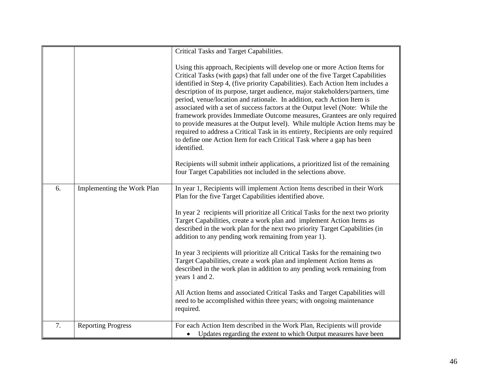|    |                            | Critical Tasks and Target Capabilities.                                                                                                                                                                                                                                                                                                                                                                                                                                                                                                                                                                                                                                                                                                                                                                                                                                                                                                                                                     |
|----|----------------------------|---------------------------------------------------------------------------------------------------------------------------------------------------------------------------------------------------------------------------------------------------------------------------------------------------------------------------------------------------------------------------------------------------------------------------------------------------------------------------------------------------------------------------------------------------------------------------------------------------------------------------------------------------------------------------------------------------------------------------------------------------------------------------------------------------------------------------------------------------------------------------------------------------------------------------------------------------------------------------------------------|
|    |                            | Using this approach, Recipients will develop one or more Action Items for<br>Critical Tasks (with gaps) that fall under one of the five Target Capabilities<br>identified in Step 4, (five priority Capabilities). Each Action Item includes a<br>description of its purpose, target audience, major stakeholders/partners, time<br>period, venue/location and rationale. In addition, each Action Item is<br>associated with a set of success factors at the Output level (Note: While the<br>framework provides Immediate Outcome measures, Grantees are only required<br>to provide measures at the Output level). While multiple Action Items may be<br>required to address a Critical Task in its entirety, Recipients are only required<br>to define one Action Item for each Critical Task where a gap has been<br>identified.<br>Recipients will submit intheir applications, a prioritized list of the remaining<br>four Target Capabilities not included in the selections above. |
| 6. | Implementing the Work Plan | In year 1, Recipients will implement Action Items described in their Work<br>Plan for the five Target Capabilities identified above.                                                                                                                                                                                                                                                                                                                                                                                                                                                                                                                                                                                                                                                                                                                                                                                                                                                        |
|    |                            | In year 2 recipients will prioritize all Critical Tasks for the next two priority<br>Target Capabilities, create a work plan and implement Action Items as<br>described in the work plan for the next two priority Target Capabilities (in<br>addition to any pending work remaining from year 1).                                                                                                                                                                                                                                                                                                                                                                                                                                                                                                                                                                                                                                                                                          |
|    |                            | In year 3 recipients will prioritize all Critical Tasks for the remaining two<br>Target Capabilities, create a work plan and implement Action Items as<br>described in the work plan in addition to any pending work remaining from<br>years 1 and 2.                                                                                                                                                                                                                                                                                                                                                                                                                                                                                                                                                                                                                                                                                                                                       |
|    |                            | All Action Items and associated Critical Tasks and Target Capabilities will<br>need to be accomplished within three years; with ongoing maintenance<br>required.                                                                                                                                                                                                                                                                                                                                                                                                                                                                                                                                                                                                                                                                                                                                                                                                                            |
| 7. | <b>Reporting Progress</b>  | For each Action Item described in the Work Plan, Recipients will provide<br>• Updates regarding the extent to which Output measures have been                                                                                                                                                                                                                                                                                                                                                                                                                                                                                                                                                                                                                                                                                                                                                                                                                                               |